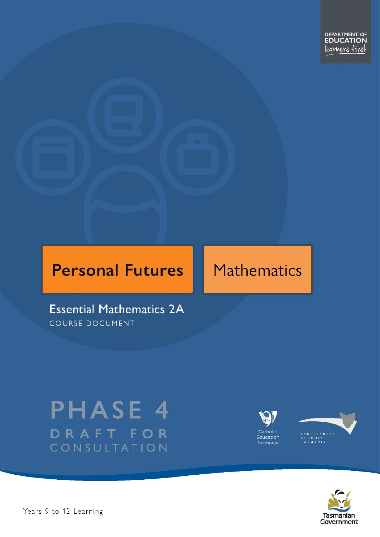## **Personal Futures**

## Mathematics

**Essential Mathematics 2A COURSE DOCUMENT** 

# **PHASE 4** DRAFT FOR CONSULTATION





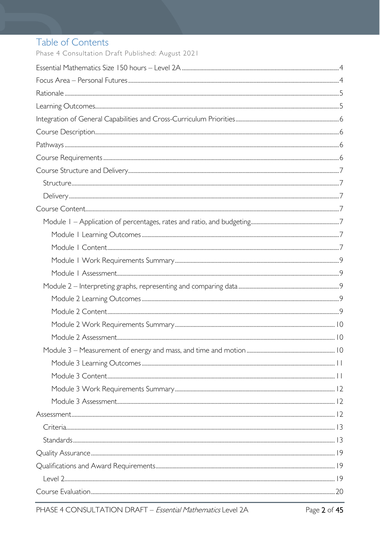### Table of Contents

Phase 4 Consultation Draft Published: August 2021

| $Standards  \frac{ 13}{4}$ |  |
|----------------------------|--|
|                            |  |
|                            |  |
|                            |  |
|                            |  |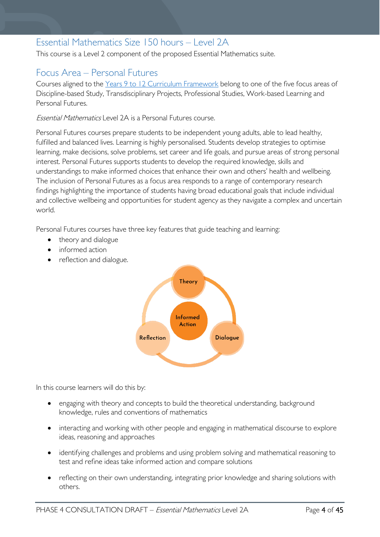### <span id="page-3-0"></span>Essential Mathematics Size 150 hours – Level 2A

This course is a Level 2 component of the proposed Essential Mathematics suite.

### <span id="page-3-1"></span>Focus Area – Personal Futures

Courses aligned to the [Years 9 to 12 Curriculum Framework](https://publicdocumentcentre.education.tas.gov.au/library/Shared%20Documents/Education%209-12%20Frameworks%20A3%20WEB%20POSTER.pdf) belong to one of the five focus areas of Discipline-based Study, Transdisciplinary Projects, Professional Studies, Work-based Learning and Personal Futures.

Essential Mathematics Level 2A is a Personal Futures course.

Personal Futures courses prepare students to be independent young adults, able to lead healthy, fulfilled and balanced lives. Learning is highly personalised. Students develop strategies to optimise learning, make decisions, solve problems, set career and life goals, and pursue areas of strong personal interest. Personal Futures supports students to develop the required knowledge, skills and understandings to make informed choices that enhance their own and others' health and wellbeing. The inclusion of Personal Futures as a focus area responds to a range of contemporary research findings highlighting the importance of students having broad educational goals that include individual and collective wellbeing and opportunities for student agency as they navigate a complex and uncertain world.

Personal Futures courses have three key features that guide teaching and learning:

- theory and dialogue
- informed action
- reflection and dialogue.



In this course learners will do this by:

- engaging with theory and concepts to build the theoretical understanding, background knowledge, rules and conventions of mathematics
- interacting and working with other people and engaging in mathematical discourse to explore ideas, reasoning and approaches
- identifying challenges and problems and using problem solving and mathematical reasoning to test and refine ideas take informed action and compare solutions
- reflecting on their own understanding, integrating prior knowledge and sharing solutions with others.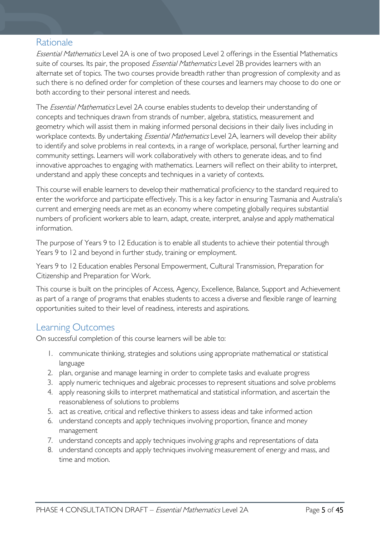### <span id="page-4-0"></span>Rationale

Essential Mathematics Level 2A is one of two proposed Level 2 offerings in the Essential Mathematics suite of courses. Its pair, the proposed *Essential Mathematics* Level 2B provides learners with an alternate set of topics. The two courses provide breadth rather than progression of complexity and as such there is no defined order for completion of these courses and learners may choose to do one or both according to their personal interest and needs.

The *Essential Mathematics* Level 2A course enables students to develop their understanding of concepts and techniques drawn from strands of number, algebra, statistics, measurement and geometry which will assist them in making informed personal decisions in their daily lives including in workplace contexts. By undertaking *Essential Mathematics* Level 2A, learners will develop their ability to identify and solve problems in real contexts, in a range of workplace, personal, further learning and community settings. Learners will work collaboratively with others to generate ideas, and to find innovative approaches to engaging with mathematics. Learners will reflect on their ability to interpret, understand and apply these concepts and techniques in a variety of contexts.

This course will enable learners to develop their mathematical proficiency to the standard required to enter the workforce and participate effectively. This is a key factor in ensuring Tasmania and Australia's current and emerging needs are met as an economy where competing globally requires substantial numbers of proficient workers able to learn, adapt, create, interpret, analyse and apply mathematical information.

The purpose of Years 9 to 12 Education is to enable all students to achieve their potential through Years 9 to 12 and beyond in further study, training or employment.

Years 9 to 12 Education enables Personal Empowerment, Cultural Transmission, Preparation for Citizenship and Preparation for Work.

This course is built on the principles of Access, Agency, Excellence, Balance, Support and Achievement as part of a range of programs that enables students to access a diverse and flexible range of learning opportunities suited to their level of readiness, interests and aspirations.

### <span id="page-4-1"></span>Learning Outcomes

On successful completion of this course learners will be able to:

- 1. communicate thinking, strategies and solutions using appropriate mathematical or statistical language
- 2. plan, organise and manage learning in order to complete tasks and evaluate progress
- 3. apply numeric techniques and algebraic processes to represent situations and solve problems
- 4. apply reasoning skills to interpret mathematical and statistical information, and ascertain the reasonableness of solutions to problems
- 5. act as creative, critical and reflective thinkers to assess ideas and take informed action
- 6. understand concepts and apply techniques involving proportion, finance and money management
- 7. understand concepts and apply techniques involving graphs and representations of data
- 8. understand concepts and apply techniques involving measurement of energy and mass, and time and motion.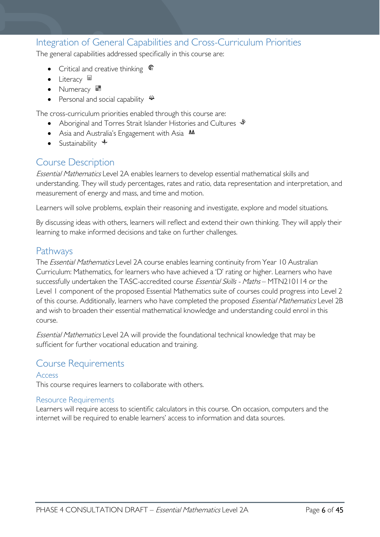### <span id="page-5-0"></span>Integration of General Capabilities and Cross-Curriculum Priorities

The general capabilities addressed specifically in this course are:

- Critical and creative thinking  $\mathbb{C}$
- Literacy
- Numeracy
- Personal and social capability  $\ddot{\ddot{}}$

The cross-curriculum priorities enabled through this course are:

- Aboriginal and Torres Strait Islander Histories and Cultures  $\mathcal$
- Asia and Australia's Engagement with Asia **AA**
- Sustainability  $\triangleleft$

### <span id="page-5-1"></span>Course Description

Essential Mathematics Level 2A enables learners to develop essential mathematical skills and understanding. They will study percentages, rates and ratio, data representation and interpretation, and measurement of energy and mass, and time and motion.

Learners will solve problems, explain their reasoning and investigate, explore and model situations.

By discussing ideas with others, learners will reflect and extend their own thinking. They will apply their learning to make informed decisions and take on further challenges.

### <span id="page-5-2"></span>Pathways

The *Essential Mathematics* Level 2A course enables learning continuity from Year 10 Australian Curriculum: Mathematics, for learners who have achieved a 'D' rating or higher. Learners who have successfully undertaken the TASC-accredited course Essential Skills - Maths - MTN210114 or the Level 1 component of the proposed Essential Mathematics suite of courses could progress into Level 2 of this course. Additionally, learners who have completed the proposed Essential Mathematics Level 2B and wish to broaden their essential mathematical knowledge and understanding could enrol in this course.

Essential Mathematics Level 2A will provide the foundational technical knowledge that may be sufficient for further vocational education and training.

### <span id="page-5-3"></span>Course Requirements

#### Access

This course requires learners to collaborate with others.

#### Resource Requirements

Learners will require access to scientific calculators in this course. On occasion, computers and the internet will be required to enable learners' access to information and data sources.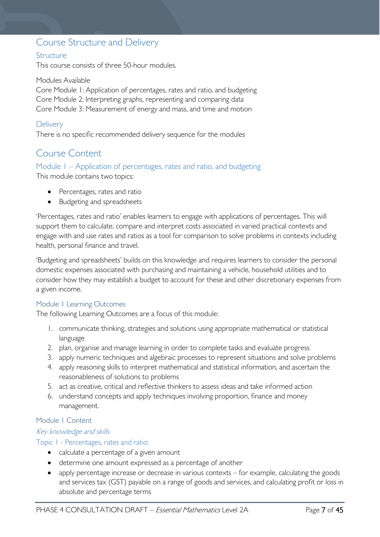### <span id="page-6-0"></span>Course Structure and Delivery

#### <span id="page-6-1"></span>**Structure**

This course consists of three 50-hour modules.

#### Modules Available

Core Module 1: Application of percentages, rates and ratio, and budgeting Core Module 2: Interpreting graphs, representing and comparing data Core Module 3: Measurement of energy and mass, and time and motion

#### <span id="page-6-2"></span>**Delivery**

There is no specific recommended delivery sequence for the modules

### <span id="page-6-3"></span>Course Content

## <span id="page-6-4"></span>Module 1 – Application of percentages, rates and ratio, and budgeting

This module contains two topics:

- Percentages, rates and ratio
- Budgeting and spreadsheets

'Percentages, rates and ratio' enables learners to engage with applications of percentages. This will support them to calculate, compare and interpret costs associated in varied practical contexts and engage with and use rates and ratios as a tool for comparison to solve problems in contexts including health, personal finance and travel.

'Budgeting and spreadsheets' builds on this knowledge and requires learners to consider the personal domestic expenses associated with purchasing and maintaining a vehicle, household utilities and to consider how they may establish a budget to account for these and other discretionary expenses from a given income.

#### <span id="page-6-5"></span>Module 1 Learning Outcomes

The following Learning Outcomes are a focus of this module:

- 1. communicate thinking, strategies and solutions using appropriate mathematical or statistical language
- 2. plan, organise and manage learning in order to complete tasks and evaluate progress
- 3. apply numeric techniques and algebraic processes to represent situations and solve problems
- 4. apply reasoning skills to interpret mathematical and statistical information, and ascertain the reasonableness of solutions to problems
- 5. act as creative, critical and reflective thinkers to assess ideas and take informed action
- 6. understand concepts and apply techniques involving proportion, finance and money management.

#### <span id="page-6-6"></span>Module 1 Content

#### Key knowledge and skills

Topic 1 - Percentages, rates and ratio:

- calculate a percentage of a given amount
- determine one amount expressed as a percentage of another
- apply percentage increase or decrease in various contexts for example, calculating the goods and services tax (GST) payable on a range of goods and services, and calculating profit or loss in absolute and percentage terms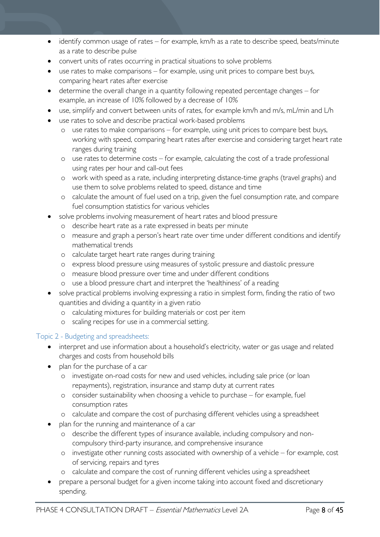- identify common usage of rates for example, km/h as a rate to describe speed, beats/minute as a rate to describe pulse
- convert units of rates occurring in practical situations to solve problems
- use rates to make comparisons for example, using unit prices to compare best buys, comparing heart rates after exercise
- determine the overall change in a quantity following repeated percentage changes for example, an increase of 10% followed by a decrease of 10%
- use, simplify and convert between units of rates, for example km/h and m/s, mL/min and L/h
- use rates to solve and describe practical work-based problems
	- o use rates to make comparisons for example, using unit prices to compare best buys, working with speed, comparing heart rates after exercise and considering target heart rate ranges during training
	- o use rates to determine costs for example, calculating the cost of a trade professional using rates per hour and call-out fees
	- o work with speed as a rate, including interpreting distance-time graphs (travel graphs) and use them to solve problems related to speed, distance and time
	- o calculate the amount of fuel used on a trip, given the fuel consumption rate, and compare fuel consumption statistics for various vehicles
- solve problems involving measurement of heart rates and blood pressure
	- o describe heart rate as a rate expressed in beats per minute
	- o measure and graph a person's heart rate over time under different conditions and identify mathematical trends
	- o calculate target heart rate ranges during training
	- o express blood pressure using measures of systolic pressure and diastolic pressure
	- o measure blood pressure over time and under different conditions
	- o use a blood pressure chart and interpret the 'healthiness' of a reading
- solve practical problems involving expressing a ratio in simplest form, finding the ratio of two quantities and dividing a quantity in a given ratio
	- o calculating mixtures for building materials or cost per item
	- o scaling recipes for use in a commercial setting.

#### Topic 2 - Budgeting and spreadsheets:

- interpret and use information about a household's electricity, water or gas usage and related charges and costs from household bills
- plan for the purchase of a car
	- o investigate on-road costs for new and used vehicles, including sale price (or loan repayments), registration, insurance and stamp duty at current rates
	- o consider sustainability when choosing a vehicle to purchase for example, fuel consumption rates
	- o calculate and compare the cost of purchasing different vehicles using a spreadsheet
- plan for the running and maintenance of a car
	- o describe the different types of insurance available, including compulsory and noncompulsory third-party insurance, and comprehensive insurance
	- o investigate other running costs associated with ownership of a vehicle for example, cost of servicing, repairs and tyres
	- o calculate and compare the cost of running different vehicles using a spreadsheet
- prepare a personal budget for a given income taking into account fixed and discretionary spending.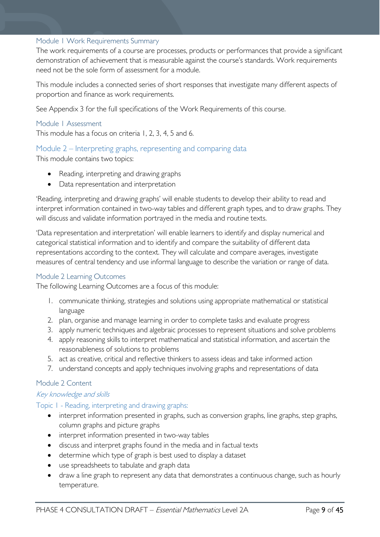#### <span id="page-8-0"></span>Module 1 Work Requirements Summary

The work requirements of a course are processes, products or performances that provide a significant demonstration of achievement that is measurable against the course's standards. Work requirements need not be the sole form of assessment for a module.

This module includes a connected series of short responses that investigate many different aspects of proportion and finance as work requirements.

See Appendix 3 for the full specifications of the Work Requirements of this course.

#### <span id="page-8-1"></span>Module 1 Assessment

This module has a focus on criteria 1, 2, 3, 4, 5 and 6.

#### <span id="page-8-2"></span>Module 2 – Interpreting graphs, representing and comparing data

This module contains two topics:

- Reading, interpreting and drawing graphs
- Data representation and interpretation

'Reading, interpreting and drawing graphs' will enable students to develop their ability to read and interpret information contained in two-way tables and different graph types, and to draw graphs. They will discuss and validate information portrayed in the media and routine texts.

'Data representation and interpretation' will enable learners to identify and display numerical and categorical statistical information and to identify and compare the suitability of different data representations according to the context. They will calculate and compare averages, investigate measures of central tendency and use informal language to describe the variation or range of data.

#### <span id="page-8-3"></span>Module 2 Learning Outcomes

The following Learning Outcomes are a focus of this module:

- 1. communicate thinking, strategies and solutions using appropriate mathematical or statistical language
- 2. plan, organise and manage learning in order to complete tasks and evaluate progress
- 3. apply numeric techniques and algebraic processes to represent situations and solve problems
- 4. apply reasoning skills to interpret mathematical and statistical information, and ascertain the reasonableness of solutions to problems
- 5. act as creative, critical and reflective thinkers to assess ideas and take informed action
- 7. understand concepts and apply techniques involving graphs and representations of data

#### <span id="page-8-4"></span>Module 2 Content

#### Key knowledge and skills

#### Topic 1 - Reading, interpreting and drawing graphs:

- interpret information presented in graphs, such as conversion graphs, line graphs, step graphs, column graphs and picture graphs
- interpret information presented in two-way tables
- discuss and interpret graphs found in the media and in factual texts
- determine which type of graph is best used to display a dataset
- use spreadsheets to tabulate and graph data
- draw a line graph to represent any data that demonstrates a continuous change, such as hourly temperature.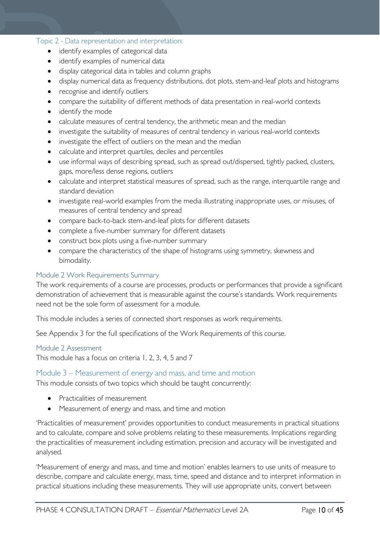#### Topic 2 - Data representation and interpretation:

- identify examples of categorical data
- identify examples of numerical data
- display categorical data in tables and column graphs
- display numerical data as frequency distributions, dot plots, stem-and-leaf plots and histograms
- recognise and identify outliers
- compare the suitability of different methods of data presentation in real-world contexts
- identify the mode
- calculate measures of central tendency, the arithmetic mean and the median
- investigate the suitability of measures of central tendency in various real-world contexts
- investigate the effect of outliers on the mean and the median
- calculate and interpret quartiles, deciles and percentiles
- use informal ways of describing spread, such as spread out/dispersed, tightly packed, clusters, gaps, more/less dense regions, outliers
- calculate and interpret statistical measures of spread, such as the range, interquartile range and standard deviation
- investigate real-world examples from the media illustrating inappropriate uses, or misuses, of measures of central tendency and spread
- compare back-to-back stem-and-leaf plots for different datasets
- complete a five-number summary for different datasets
- construct box plots using a five-number summary
- compare the characteristics of the shape of histograms using symmetry, skewness and bimodality.

#### <span id="page-9-0"></span>Module 2 Work Requirements Summary

The work requirements of a course are processes, products or performances that provide a significant demonstration of achievement that is measurable against the course's standards. Work requirements need not be the sole form of assessment for a module.

This module includes a series of connected short responses as work requirements.

See Appendix 3 for the full specifications of the Work Requirements of this course.

#### <span id="page-9-1"></span>Module 2 Assessment

This module has a focus on criteria 1, 2, 3, 4, 5 and 7

#### <span id="page-9-2"></span>Module 3 – Measurement of energy and mass, and time and motion

This module consists of two topics which should be taught concurrently:

- Practicalities of measurement
- Measurement of energy and mass, and time and motion

'Practicalities of measurement' provides opportunities to conduct measurements in practical situations and to calculate, compare and solve problems relating to these measurements. Implications regarding the practicalities of measurement including estimation, precision and accuracy will be investigated and analysed.

'Measurement of energy and mass, and time and motion' enables learners to use units of measure to describe, compare and calculate energy, mass, time, speed and distance and to interpret information in practical situations including these measurements. They will use appropriate units, convert between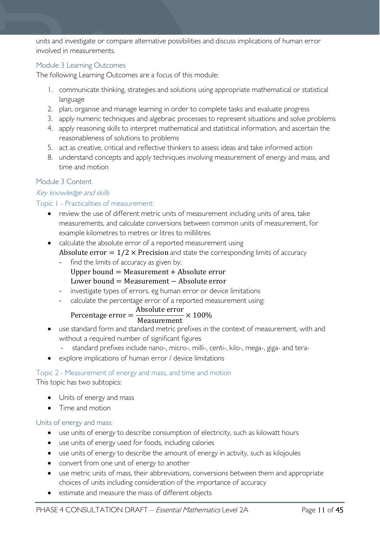units and investigate or compare alternative possibilities and discuss implications of human error involved in measurements.

#### <span id="page-10-0"></span>Module 3 Learning Outcomes

The following Learning Outcomes are a focus of this module:

- 1. communicate thinking, strategies and solutions using appropriate mathematical or statistical language
- 2. plan, organise and manage learning in order to complete tasks and evaluate progress
- 3. apply numeric techniques and algebraic processes to represent situations and solve problems
- 4. apply reasoning skills to interpret mathematical and statistical information, and ascertain the reasonableness of solutions to problems
- 5. act as creative, critical and reflective thinkers to assess ideas and take informed action
- 8. understand concepts and apply techniques involving measurement of energy and mass, and time and motion

#### <span id="page-10-1"></span>Module 3 Content

#### Key knowledge and skills

#### Topic 1 - Practicalities of measurement:

- review the use of different metric units of measurement including units of area, take measurements, and calculate conversions between common units of measurement, for example kilometres to metres or litres to millilitres
- calculate the absolute error of a reported measurement using Absolute error  $= 1/2 \times$  Precision and state the corresponding limits of accuracy
	- find the limits of accuracy as given by:
		- Upper bound  $=$  Measurement  $+$  Absolute error
		- Lower bound = Measurement − Absolute error
	- investigate types of errors, eg human error or device limitations
	- calculate the percentage error of a reported measurement using:

#### Percentage error  $=$   $\frac{\text{Absolute error}}{\text{Magsurement}}$ Measurement × 100%

- use standard form and standard metric prefixes in the context of measurement, with and without a required number of significant figures
	- standard prefixes include nano-, micro-, milli-, centi-, kilo-, mega-, giga- and tera-
- explore implications of human error / device limitations

#### Topic 2 - Measurement of energy and mass, and time and motion

This topic has two subtopics:

- Units of energy and mass
- Time and motion

#### Units of energy and mass:

- use units of energy to describe consumption of electricity, such as kilowatt hours
- use units of energy used for foods, including calories
- use units of energy to describe the amount of energy in activity, such as kilojoules
- convert from one unit of energy to another
- use metric units of mass, their abbreviations, conversions between them and appropriate choices of units including consideration of the importance of accuracy
- estimate and measure the mass of different objects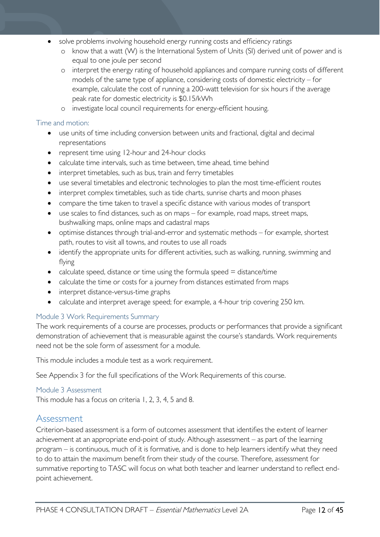- solve problems involving household energy running costs and efficiency ratings
	- o know that a watt (W) is the International System of Units (SI) derived unit of power and is equal to one joule per second
	- o interpret the energy rating of household appliances and compare running costs of different models of the same type of appliance, considering costs of domestic electricity – for example, calculate the cost of running a 200-watt television for six hours if the average peak rate for domestic electricity is \$0.15/kWh
	- o investigate local council requirements for energy-efficient housing.

#### Time and motion:

- use units of time including conversion between units and fractional, digital and decimal representations
- represent time using 12-hour and 24-hour clocks
- calculate time intervals, such as time between, time ahead, time behind
- interpret timetables, such as bus, train and ferry timetables
- use several timetables and electronic technologies to plan the most time-efficient routes
- interpret complex timetables, such as tide charts, sunrise charts and moon phases
- compare the time taken to travel a specific distance with various modes of transport
- use scales to find distances, such as on maps for example, road maps, street maps, bushwalking maps, online maps and cadastral maps
- optimise distances through trial-and-error and systematic methods for example, shortest path, routes to visit all towns, and routes to use all roads
- identify the appropriate units for different activities, such as walking, running, swimming and flying
- calculate speed, distance or time using the formula speed  $=$  distance/time
- calculate the time or costs for a journey from distances estimated from maps
- interpret distance-versus-time graphs
- calculate and interpret average speed; for example, a 4-hour trip covering 250 km.

#### <span id="page-11-0"></span>Module 3 Work Requirements Summary

The work requirements of a course are processes, products or performances that provide a significant demonstration of achievement that is measurable against the course's standards. Work requirements need not be the sole form of assessment for a module.

This module includes a module test as a work requirement.

See Appendix 3 for the full specifications of the Work Requirements of this course.

#### <span id="page-11-1"></span>Module 3 Assessment

This module has a focus on criteria 1, 2, 3, 4, 5 and 8.

### <span id="page-11-2"></span>Assessment

Criterion-based assessment is a form of outcomes assessment that identifies the extent of learner achievement at an appropriate end-point of study. Although assessment – as part of the learning program – is continuous, much of it is formative, and is done to help learners identify what they need to do to attain the maximum benefit from their study of the course. Therefore, assessment for summative reporting to TASC will focus on what both teacher and learner understand to reflect endpoint achievement.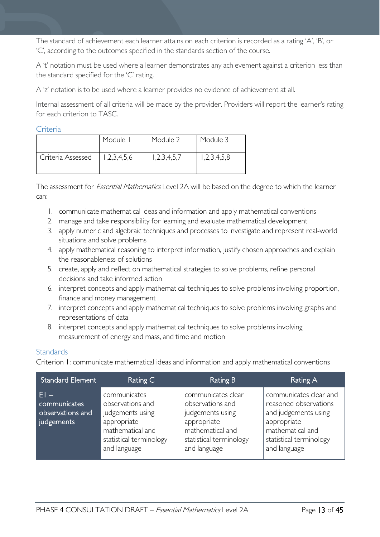The standard of achievement each learner attains on each criterion is recorded as a rating 'A', 'B', or 'C', according to the outcomes specified in the standards section of the course.

A 't' notation must be used where a learner demonstrates any achievement against a criterion less than the standard specified for the 'C' rating.

A 'z' notation is to be used where a learner provides no evidence of achievement at all.

Internal assessment of all criteria will be made by the provider. Providers will report the learner's rating for each criterion to TASC.

#### <span id="page-12-0"></span>Criteria

|                   | Module I    | Module 2    | Module 3    |
|-------------------|-------------|-------------|-------------|
| Criteria Assessed | 1,2,3,4,5,6 | 1,2,3,4,5,7 | 1,2,3,4,5,8 |

The assessment for *Essential Mathematics* Level 2A will be based on the degree to which the learner can:

- 1. communicate mathematical ideas and information and apply mathematical conventions
- 2. manage and take responsibility for learning and evaluate mathematical development
- 3. apply numeric and algebraic techniques and processes to investigate and represent real-world situations and solve problems
- 4. apply mathematical reasoning to interpret information, justify chosen approaches and explain the reasonableness of solutions
- 5. create, apply and reflect on mathematical strategies to solve problems, refine personal decisions and take informed action
- 6. interpret concepts and apply mathematical techniques to solve problems involving proportion, finance and money management
- 7. interpret concepts and apply mathematical techniques to solve problems involving graphs and representations of data
- 8. interpret concepts and apply mathematical techniques to solve problems involving measurement of energy and mass, and time and motion

#### <span id="page-12-1"></span>**Standards**

Criterion 1: communicate mathematical ideas and information and apply mathematical conventions

| <b>Standard Element</b>                                  | Rating C                                                                                                                           | <b>Rating B</b>                                                                                                                          | Rating A                                                                                                                                              |
|----------------------------------------------------------|------------------------------------------------------------------------------------------------------------------------------------|------------------------------------------------------------------------------------------------------------------------------------------|-------------------------------------------------------------------------------------------------------------------------------------------------------|
| $F1 -$<br>communicates<br>observations and<br>judgements | communicates<br>observations and<br>judgements using<br>appropriate<br>mathematical and<br>statistical terminology<br>and language | communicates clear<br>observations and<br>judgements using<br>appropriate<br>mathematical and<br>statistical terminology<br>and language | communicates clear and<br>reasoned observations<br>and judgements using<br>appropriate<br>mathematical and<br>statistical terminology<br>and language |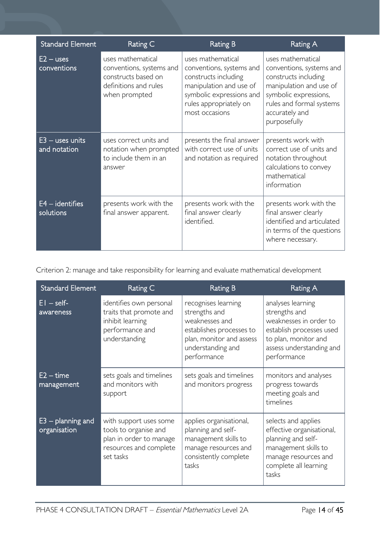| <b>Standard Element</b>           | Rating C                                                                                                       | <b>Rating B</b>                                                                                                                                                          | Rating A                                                                                                                                                                                |
|-----------------------------------|----------------------------------------------------------------------------------------------------------------|--------------------------------------------------------------------------------------------------------------------------------------------------------------------------|-----------------------------------------------------------------------------------------------------------------------------------------------------------------------------------------|
| $E2 - uses$<br>conventions        | uses mathematical<br>conventions, systems and<br>constructs based on<br>definitions and rules<br>when prompted | uses mathematical<br>conventions, systems and<br>constructs including<br>manipulation and use of<br>symbolic expressions and<br>rules appropriately on<br>most occasions | uses mathematical<br>conventions, systems and<br>constructs including<br>manipulation and use of<br>symbolic expressions,<br>rules and formal systems<br>accurately and<br>purposefully |
| $E3$ – uses units<br>and notation | uses correct units and<br>notation when prompted<br>to include them in an<br>answer                            | presents the final answer<br>with correct use of units<br>and notation as required                                                                                       | presents work with<br>correct use of units and<br>notation throughout<br>calculations to convey<br>mathematical<br>information                                                          |
| $E4$ – identifies<br>solutions    | presents work with the<br>final answer apparent.                                                               | presents work with the<br>final answer clearly<br>identified.                                                                                                            | presents work with the<br>final answer clearly<br>identified and articulated<br>in terms of the questions<br>where necessary.                                                           |

Criterion 2: manage and take responsibility for learning and evaluate mathematical development

| <b>Standard Element</b>             | Rating C                                                                                                          | <b>Rating B</b>                                                                                                                                    | Rating A                                                                                                                                                    |
|-------------------------------------|-------------------------------------------------------------------------------------------------------------------|----------------------------------------------------------------------------------------------------------------------------------------------------|-------------------------------------------------------------------------------------------------------------------------------------------------------------|
| $EI - self$<br>awareness            | identifies own personal<br>traits that promote and<br>inhibit learning<br>performance and<br>understanding        | recognises learning<br>strengths and<br>weaknesses and<br>establishes processes to<br>plan, monitor and assess<br>understanding and<br>performance | analyses learning<br>strengths and<br>weaknesses in order to<br>establish processes used<br>to plan, monitor and<br>assess understanding and<br>performance |
| $E2 - time$<br>management           | sets goals and timelines<br>and monitors with<br>support                                                          | sets goals and timelines<br>and monitors progress                                                                                                  | monitors and analyses<br>progress towards<br>meeting goals and<br>timelines                                                                                 |
| $E3$ – planning and<br>organisation | with support uses some<br>tools to organise and<br>plan in order to manage<br>resources and complete<br>set tasks | applies organisational,<br>planning and self-<br>management skills to<br>manage resources and<br>consistently complete<br>tasks                    | selects and applies<br>effective organisational,<br>planning and self-<br>management skills to<br>manage resources and<br>complete all learning<br>tasks    |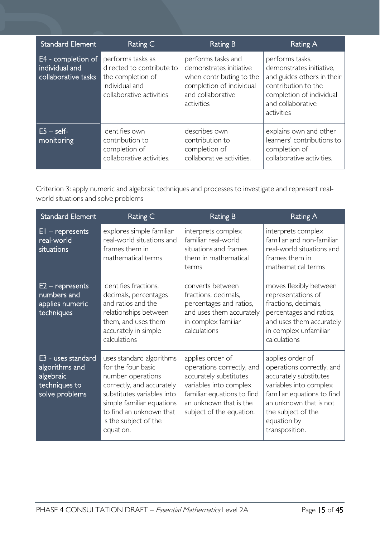| <b>Standard Element</b>                                     | Rating C                                                                                                          | Rating B                                                                                                                                 | Rating A                                                                                                                                                        |
|-------------------------------------------------------------|-------------------------------------------------------------------------------------------------------------------|------------------------------------------------------------------------------------------------------------------------------------------|-----------------------------------------------------------------------------------------------------------------------------------------------------------------|
| E4 - completion of<br>individual and<br>collaborative tasks | performs tasks as<br>directed to contribute to<br>the completion of<br>individual and<br>collaborative activities | performs tasks and<br>demonstrates initiative<br>when contributing to the<br>completion of individual<br>and collaborative<br>activities | performs tasks,<br>demonstrates initiative,<br>and guides others in their<br>contribution to the<br>completion of individual<br>and collaborative<br>activities |
| $E5 - self$<br>monitoring                                   | identifies own<br>contribution to<br>completion of<br>collaborative activities.                                   | describes own<br>contribution to<br>completion of<br>collaborative activities.                                                           | explains own and other<br>learners' contributions to<br>completion of<br>collaborative activities.                                                              |

Criterion 3: apply numeric and algebraic techniques and processes to investigate and represent realworld situations and solve problems

| <b>Standard Element</b>                                                              | Rating C                                                                                                                                                                                                                     | <b>Rating B</b>                                                                                                                                                                       | <b>Rating A</b>                                                                                                                                                                                                  |
|--------------------------------------------------------------------------------------|------------------------------------------------------------------------------------------------------------------------------------------------------------------------------------------------------------------------------|---------------------------------------------------------------------------------------------------------------------------------------------------------------------------------------|------------------------------------------------------------------------------------------------------------------------------------------------------------------------------------------------------------------|
| $E1 -$ represents<br>real-world<br>situations                                        | explores simple familiar<br>real-world situations and<br>frames them in<br>mathematical terms                                                                                                                                | interprets complex<br>familiar real-world<br>situations and frames<br>them in mathematical<br>terms                                                                                   | interprets complex<br>familiar and non-familiar<br>real-world situations and<br>frames them in<br>mathematical terms                                                                                             |
| $E2$ – represents<br>numbers and<br>applies numeric<br>techniques                    | identifies fractions,<br>decimals, percentages<br>and ratios and the<br>relationships between<br>them, and uses them<br>accurately in simple<br>calculations                                                                 | converts between<br>fractions, decimals,<br>percentages and ratios,<br>and uses them accurately<br>in complex familiar<br>calculations                                                | moves flexibly between<br>representations of<br>fractions, decimals,<br>percentages and ratios,<br>and uses them accurately<br>in complex unfamiliar<br>calculations                                             |
| E3 - uses standard<br>algorithms and<br>algebraic<br>techniques to<br>solve problems | uses standard algorithms<br>for the four basic<br>number operations<br>correctly, and accurately<br>substitutes variables into<br>simple familiar equations<br>to find an unknown that<br>is the subject of the<br>equation. | applies order of<br>operations correctly, and<br>accurately substitutes<br>variables into complex<br>familiar equations to find<br>an unknown that is the<br>subject of the equation. | applies order of<br>operations correctly, and<br>accurately substitutes<br>variables into complex<br>familiar equations to find<br>an unknown that is not<br>the subject of the<br>equation by<br>transposition. |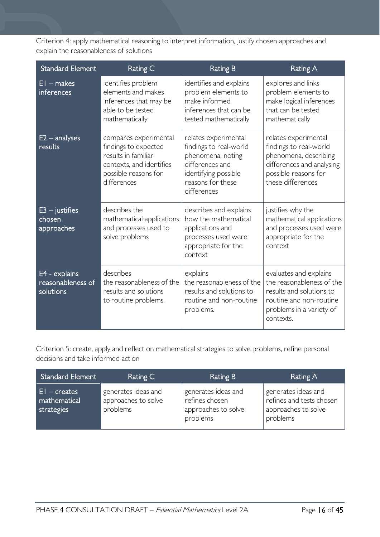Criterion 4: apply mathematical reasoning to interpret information, justify chosen approaches and explain the reasonableness of solutions

| <b>Standard Element</b>                         | Rating C                                                                                                                                | <b>Rating B</b>                                                                                                                                    | <b>Rating A</b>                                                                                                                                     |
|-------------------------------------------------|-----------------------------------------------------------------------------------------------------------------------------------------|----------------------------------------------------------------------------------------------------------------------------------------------------|-----------------------------------------------------------------------------------------------------------------------------------------------------|
| $EI$ – makes<br><i>inferences</i>               | identifies problem<br>elements and makes<br>inferences that may be<br>able to be tested<br>mathematically                               | identifies and explains<br>problem elements to<br>make informed<br>inferences that can be<br>tested mathematically                                 | explores and links<br>problem elements to<br>make logical inferences<br>that can be tested<br>mathematically                                        |
| $E2 -$ analyses<br>results                      | compares experimental<br>findings to expected<br>results in familiar<br>contexts, and identifies<br>possible reasons for<br>differences | relates experimental<br>findings to real-world<br>phenomena, noting<br>differences and<br>identifying possible<br>reasons for these<br>differences | relates experimental<br>findings to real-world<br>phenomena, describing<br>differences and analysing<br>possible reasons for<br>these differences   |
| $E3 - justifies$<br>chosen<br>approaches        | describes the<br>mathematical applications<br>and processes used to<br>solve problems                                                   | describes and explains<br>how the mathematical<br>applications and<br>processes used were<br>appropriate for the<br>context                        | justifies why the<br>mathematical applications<br>and processes used were<br>appropriate for the<br>context                                         |
| E4 - explains<br>reasonableness of<br>solutions | describes<br>the reasonableness of the<br>results and solutions<br>to routine problems.                                                 | explains<br>the reasonableness of the<br>results and solutions to<br>routine and non-routine<br>problems.                                          | evaluates and explains<br>the reasonableness of the<br>results and solutions to<br>routine and non-routine<br>problems in a variety of<br>contexts. |

Criterion 5: create, apply and reflect on mathematical strategies to solve problems, refine personal decisions and take informed action

| <b>Standard Element</b>                       | Rating C                                               | Rating B                                                                 | Rating A                                                                           |
|-----------------------------------------------|--------------------------------------------------------|--------------------------------------------------------------------------|------------------------------------------------------------------------------------|
| $ E $ – creates<br>mathematical<br>strategies | generates ideas and<br>approaches to solve<br>problems | generates ideas and<br>refines chosen<br>approaches to solve<br>problems | generates ideas and<br>refines and tests chosen<br>approaches to solve<br>problems |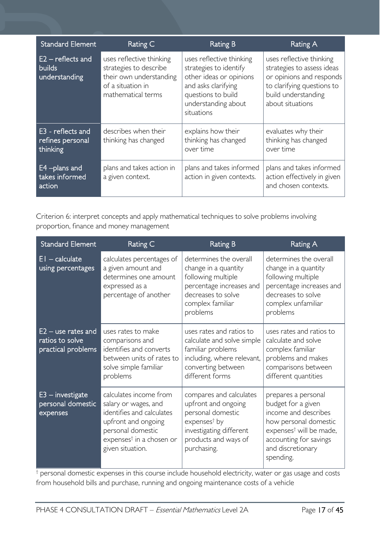| <b>Standard Element</b>                               | Rating C                                                                                                                 | <b>Rating B</b>                                                                                                                                                 | <b>Rating A</b>                                                                                                                                             |
|-------------------------------------------------------|--------------------------------------------------------------------------------------------------------------------------|-----------------------------------------------------------------------------------------------------------------------------------------------------------------|-------------------------------------------------------------------------------------------------------------------------------------------------------------|
| $E2$ – reflects and<br><b>builds</b><br>understanding | uses reflective thinking<br>strategies to describe<br>their own understanding<br>of a situation in<br>mathematical terms | uses reflective thinking<br>strategies to identify<br>other ideas or opinions<br>and asks clarifying<br>questions to build<br>understanding about<br>situations | uses reflective thinking<br>strategies to assess ideas<br>or opinions and responds<br>to clarifying questions to<br>build understanding<br>about situations |
| E3 - reflects and<br>refines personal<br>thinking     | describes when their<br>thinking has changed                                                                             | explains how their<br>thinking has changed<br>over time                                                                                                         | evaluates why their<br>thinking has changed<br>over time                                                                                                    |
| E4-plans and<br>takes informed<br>action              | plans and takes action in<br>a given context.                                                                            | plans and takes informed<br>action in given contexts.                                                                                                           | plans and takes informed<br>action effectively in given<br>and chosen contexts.                                                                             |

Criterion 6: interpret concepts and apply mathematical techniques to solve problems involving proportion, finance and money management

| <b>Standard Element</b>                                       | Rating C                                                                                                                                                                            | <b>Rating B</b>                                                                                                                                         | Rating A                                                                                                                                                                                      |
|---------------------------------------------------------------|-------------------------------------------------------------------------------------------------------------------------------------------------------------------------------------|---------------------------------------------------------------------------------------------------------------------------------------------------------|-----------------------------------------------------------------------------------------------------------------------------------------------------------------------------------------------|
| $EI - calculate$<br>using percentages                         | calculates percentages of<br>a given amount and<br>determines one amount<br>expressed as a<br>percentage of another                                                                 | determines the overall<br>change in a quantity<br>following multiple<br>percentage increases and<br>decreases to solve<br>complex familiar<br>problems  | determines the overall<br>change in a quantity<br>following multiple<br>percentage increases and<br>decreases to solve<br>complex unfamiliar<br>problems                                      |
| $E2 -$ use rates and<br>ratios to solve<br>practical problems | uses rates to make<br>comparisons and<br>identifies and converts<br>between units of rates to<br>solve simple familiar<br>problems                                                  | uses rates and ratios to<br>calculate and solve simple<br>familiar problems<br>including, where relevant,<br>converting between<br>different forms      | uses rates and ratios to<br>calculate and solve<br>complex familiar<br>problems and makes<br>comparisons between<br>different quantities                                                      |
| $E3$ – investigate<br>personal domestic<br>expenses           | calculates income from<br>salary or wages, and<br>identifies and calculates<br>upfront and ongoing<br>personal domestic<br>expenses <sup>†</sup> in a chosen or<br>given situation. | compares and calculates<br>upfront and ongoing<br>personal domestic<br>$expenses†$ by<br>investigating different<br>products and ways of<br>purchasing. | prepares a personal<br>budget for a given<br>income and describes<br>how personal domestic<br>expenses <sup>†</sup> will be made,<br>accounting for savings<br>and discretionary<br>spending. |

† personal domestic expenses in this course include household electricity, water or gas usage and costs from household bills and purchase, running and ongoing maintenance costs of a vehicle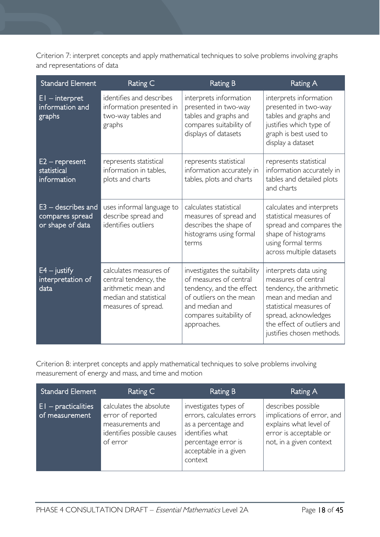Criterion 7: interpret concepts and apply mathematical techniques to solve problems involving graphs and representations of data

| <b>Standard Element</b>                                     | Rating C                                                                                                                | <b>Rating B</b>                                                                                                                                                           | Rating A                                                                                                                                                                                                      |
|-------------------------------------------------------------|-------------------------------------------------------------------------------------------------------------------------|---------------------------------------------------------------------------------------------------------------------------------------------------------------------------|---------------------------------------------------------------------------------------------------------------------------------------------------------------------------------------------------------------|
| $EI -$ interpret<br>information and<br>graphs               | identifies and describes<br>information presented in<br>two-way tables and<br>graphs                                    | interprets information<br>presented in two-way<br>tables and graphs and<br>compares suitability of<br>displays of datasets                                                | interprets information<br>presented in two-way<br>tables and graphs and<br>justifies which type of<br>graph is best used to<br>display a dataset                                                              |
| $E2$ – represent<br>statistical<br>information              | represents statistical<br>information in tables,<br>plots and charts                                                    | represents statistical<br>information accurately in<br>tables, plots and charts                                                                                           | represents statistical<br>information accurately in<br>tables and detailed plots<br>and charts                                                                                                                |
| $E3 -$ describes and<br>compares spread<br>or shape of data | uses informal language to<br>describe spread and<br>identifies outliers                                                 | calculates statistical<br>measures of spread and<br>describes the shape of<br>histograms using formal<br>terms                                                            | calculates and interprets<br>statistical measures of<br>spread and compares the<br>shape of histograms<br>using formal terms<br>across multiple datasets                                                      |
| $E4 -$ justify<br>interpretation of<br>data                 | calculates measures of<br>central tendency, the<br>arithmetic mean and<br>median and statistical<br>measures of spread. | investigates the suitability<br>of measures of central<br>tendency, and the effect<br>of outliers on the mean<br>and median and<br>compares suitability of<br>approaches. | interprets data using<br>measures of central<br>tendency, the arithmetic<br>mean and median and<br>statistical measures of<br>spread, acknowledges<br>the effect of outliers and<br>justifies chosen methods. |

Criterion 8: interpret concepts and apply mathematical techniques to solve problems involving measurement of energy and mass, and time and motion

| <b>Standard Element</b>                  | Rating C                                                                                                   | <b>Rating B</b>                                                                                                                                         | Rating A                                                                                                                        |
|------------------------------------------|------------------------------------------------------------------------------------------------------------|---------------------------------------------------------------------------------------------------------------------------------------------------------|---------------------------------------------------------------------------------------------------------------------------------|
| $ E $ – practicalities<br>of measurement | calculates the absolute<br>error of reported<br>measurements and<br>identifies possible causes<br>of error | investigates types of<br>errors, calculates errors<br>as a percentage and<br>identifies what<br>percentage error is<br>acceptable in a given<br>context | describes possible<br>implications of error, and<br>explains what level of<br>error is acceptable or<br>not, in a given context |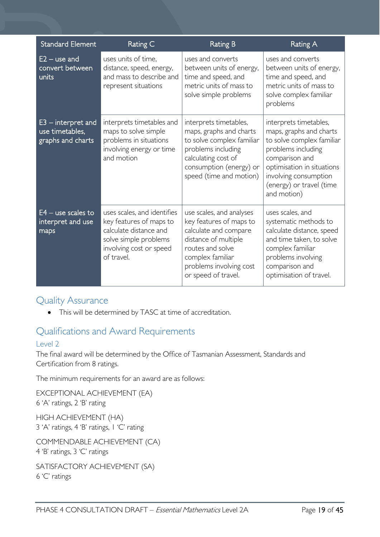| <b>Standard Element</b>                                      | Rating C                                                                                                                                           | <b>Rating B</b>                                                                                                                                                                                | <b>Rating A</b>                                                                                                                                                                                                          |
|--------------------------------------------------------------|----------------------------------------------------------------------------------------------------------------------------------------------------|------------------------------------------------------------------------------------------------------------------------------------------------------------------------------------------------|--------------------------------------------------------------------------------------------------------------------------------------------------------------------------------------------------------------------------|
| $E2 -$ use and<br>convert between<br>units                   | uses units of time,<br>distance, speed, energy,<br>and mass to describe and<br>represent situations                                                | uses and converts<br>between units of energy,<br>time and speed, and<br>metric units of mass to<br>solve simple problems                                                                       | uses and converts<br>between units of energy,<br>time and speed, and<br>metric units of mass to<br>solve complex familiar<br>problems                                                                                    |
| $E3$ – interpret and<br>use timetables,<br>graphs and charts | interprets timetables and<br>maps to solve simple<br>problems in situations<br>involving energy or time<br>and motion                              | interprets timetables,<br>maps, graphs and charts<br>to solve complex familiar<br>problems including<br>calculating cost of<br>consumption (energy) or<br>speed (time and motion)              | interprets timetables,<br>maps, graphs and charts<br>to solve complex familiar<br>problems including<br>comparison and<br>optimisation in situations<br>involving consumption<br>(energy) or travel (time<br>and motion) |
| $E4 -$ use scales to<br>interpret and use<br>maps            | uses scales, and identifies<br>key features of maps to<br>calculate distance and<br>solve simple problems<br>involving cost or speed<br>of travel. | use scales, and analyses<br>key features of maps to<br>calculate and compare<br>distance of multiple<br>routes and solve<br>complex familiar<br>problems involving cost<br>or speed of travel. | uses scales, and<br>systematic methods to<br>calculate distance, speed<br>and time taken, to solve<br>complex familiar<br>problems involving<br>comparison and<br>optimisation of travel.                                |

### <span id="page-18-0"></span>Quality Assurance

• This will be determined by TASC at time of accreditation.

### <span id="page-18-1"></span>Qualifications and Award Requirements

### <span id="page-18-2"></span>Level 2

The final award will be determined by the Office of Tasmanian Assessment, Standards and Certification from 8 ratings.

The minimum requirements for an award are as follows:

EXCEPTIONAL ACHIEVEMENT (EA) 6 'A' ratings, 2 'B' rating

HIGH ACHIEVEMENT (HA) 3 'A' ratings, 4 'B' ratings, 1 'C' rating

COMMENDABLE ACHIEVEMENT (CA) 4 'B' ratings, 3 'C' ratings

SATISFACTORY ACHIEVEMENT (SA) 6 'C' ratings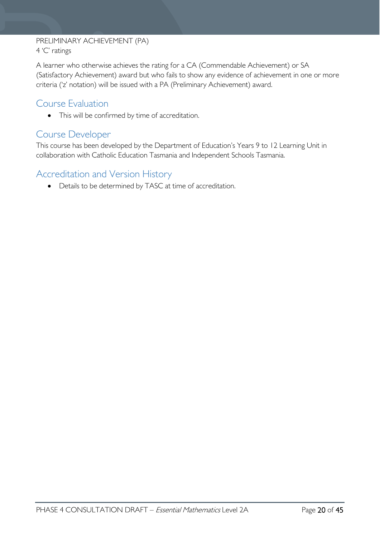#### PRELIMINARY ACHIEVEMENT (PA) 4 'C' ratings

A learner who otherwise achieves the rating for a CA (Commendable Achievement) or SA (Satisfactory Achievement) award but who fails to show any evidence of achievement in one or more criteria ('z' notation) will be issued with a PA (Preliminary Achievement) award.

### <span id="page-19-0"></span>Course Evaluation

• This will be confirmed by time of accreditation.

### <span id="page-19-1"></span>Course Developer

This course has been developed by the Department of Education's Years 9 to 12 Learning Unit in collaboration with Catholic Education Tasmania and Independent Schools Tasmania.

### <span id="page-19-2"></span>Accreditation and Version History

• Details to be determined by TASC at time of accreditation.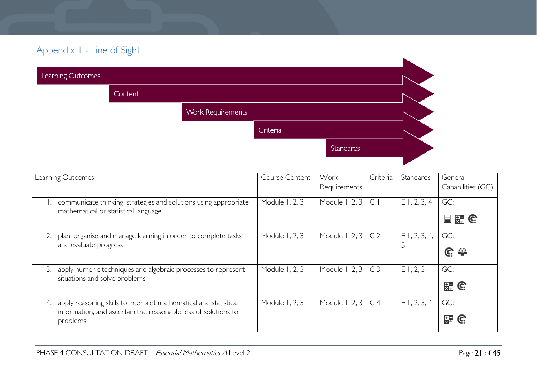## Appendix 1 - Line of Sight

| Learning Outcomes |         |                          |          |           |  |
|-------------------|---------|--------------------------|----------|-----------|--|
|                   | Content |                          |          |           |  |
|                   |         | <b>Work Requirements</b> |          |           |  |
|                   |         |                          | Criteria |           |  |
|                   |         |                          |          | Standards |  |
|                   |         |                          |          |           |  |

<span id="page-20-0"></span>

| Learning Outcomes                                                                                                                                   | Course Content | Work<br>Requirements | Criteria       | Standards       | General<br>Capabilities (GC)        |
|-----------------------------------------------------------------------------------------------------------------------------------------------------|----------------|----------------------|----------------|-----------------|-------------------------------------|
| communicate thinking, strategies and solutions using appropriate<br>mathematical or statistical language                                            | Module 1, 2, 3 | Module 1, 2, 3       | $\subset$      | $E$ 1, 2, 3, 4  | GC:<br>$\frac{1}{24}$ G<br>$\equiv$ |
| plan, organise and manage learning in order to complete tasks<br>and evaluate progress                                                              | Module 1, 2, 3 | Module 1, 2, 3       | C <sub>2</sub> | $E$ 1, 2, 3, 4, | GC:<br><u>େ କ</u>                   |
| apply numeric techniques and algebraic processes to represent<br>3.<br>situations and solve problems                                                | Module 1, 2, 3 | Module 1, 2, 3       | C <sub>3</sub> | $E$ 1, 2, 3     | GC:<br>$\frac{1}{24}$ G             |
| apply reasoning skills to interpret mathematical and statistical<br>4.<br>information, and ascertain the reasonableness of solutions to<br>problems | Module 1, 2, 3 | Module 1, 2, 3       | C <sub>4</sub> | $E$ 1, 2, 3, 4  | GC:<br>뜛<br>G                       |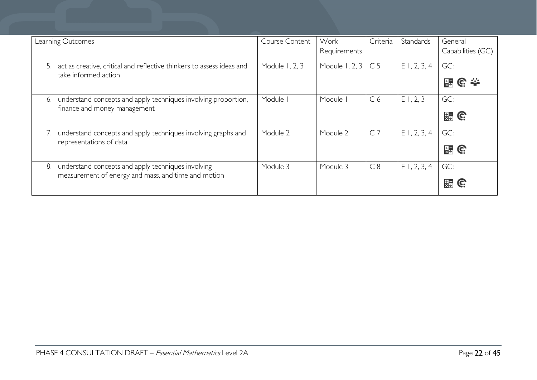| Learning Outcomes                                                                                               | Course Content | Work<br>Requirements | Criteria       | Standards      | General<br>Capabilities (GC)   |
|-----------------------------------------------------------------------------------------------------------------|----------------|----------------------|----------------|----------------|--------------------------------|
| act as creative, critical and reflective thinkers to assess ideas and<br>5.<br>take informed action             | Module 1, 2, 3 | Module 1, 2, 3       | C <sub>5</sub> | $E$ 1, 2, 3, 4 | GC:<br>$\mathbb{C} \cong$<br>믔 |
| understand concepts and apply techniques involving proportion,<br>6.<br>finance and money management            | Module I       | Module               | C <sub>6</sub> | E1, 2, 3       | GC:<br>$\frac{1}{24}$ G        |
| understand concepts and apply techniques involving graphs and<br>representations of data                        | Module 2       | Module 2             | $C$ 7          | $E$ 1, 2, 3, 4 | GC:<br><b>HEIGE</b>            |
| understand concepts and apply techniques involving<br>8.<br>measurement of energy and mass, and time and motion | Module 3       | Module 3             | C8             | $E$ 1, 2, 3, 4 | GC:<br>麻<br>C.                 |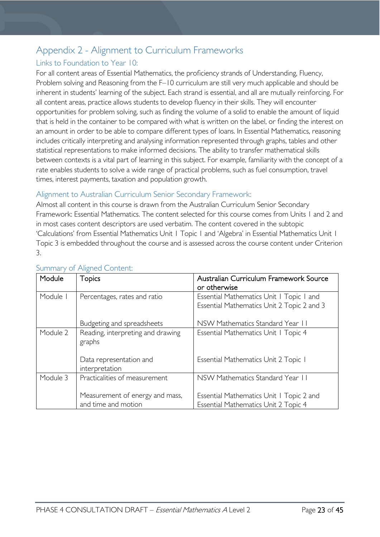### <span id="page-22-0"></span>Appendix 2 - Alignment to Curriculum Frameworks

### <span id="page-22-1"></span>Links to Foundation to Year 10:

For all content areas of Essential Mathematics, the proficiency strands of Understanding, Fluency, Problem solving and Reasoning from the F–10 curriculum are still very much applicable and should be inherent in students' learning of the subject. Each strand is essential, and all are mutually reinforcing. For all content areas, practice allows students to develop fluency in their skills. They will encounter opportunities for problem solving, such as finding the volume of a solid to enable the amount of liquid that is held in the container to be compared with what is written on the label, or finding the interest on an amount in order to be able to compare different types of loans. In Essential Mathematics, reasoning includes critically interpreting and analysing information represented through graphs, tables and other statistical representations to make informed decisions. The ability to transfer mathematical skills between contexts is a vital part of learning in this subject. For example, familiarity with the concept of a rate enables students to solve a wide range of practical problems, such as fuel consumption, travel times, interest payments, taxation and population growth.

### <span id="page-22-2"></span>Alignment to Australian Curriculum Senior Secondary Framework:

Almost all content in this course is drawn from the Australian Curriculum Senior Secondary Framework: Essential Mathematics. The content selected for this course comes from Units 1 and 2 and in most cases content descriptors are used verbatim. The content covered in the subtopic 'Calculations' from Essential Mathematics Unit 1 Topic 1 and 'Algebra' in Essential Mathematics Unit 1 Topic 3 is embedded throughout the course and is assessed across the course content under Criterion 3.

| Module   | <b>Topics</b>                                          | Australian Curriculum Framework Source<br>or otherwise                                 |
|----------|--------------------------------------------------------|----------------------------------------------------------------------------------------|
| Module I | Percentages, rates and ratio                           | Essential Mathematics Unit   Topic   and<br>Essential Mathematics Unit 2 Topic 2 and 3 |
|          | Budgeting and spreadsheets                             | NSW Mathematics Standard Year II                                                       |
| Module 2 | Reading, interpreting and drawing<br>graphs            | Essential Mathematics Unit   Topic 4                                                   |
|          | Data representation and<br>interpretation              | Essential Mathematics Unit 2 Topic I                                                   |
| Module 3 | Practicalities of measurement                          | NSW Mathematics Standard Year 11                                                       |
|          | Measurement of energy and mass,<br>and time and motion | Essential Mathematics Unit   Topic 2 and<br>Essential Mathematics Unit 2 Topic 4       |

#### <span id="page-22-3"></span>Summary of Aligned Content: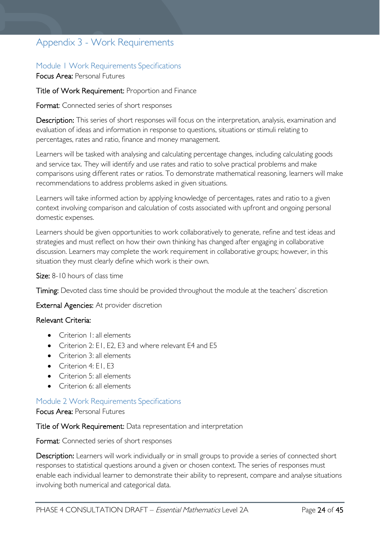### <span id="page-23-0"></span>Appendix 3 - Work Requirements

#### <span id="page-23-1"></span>Module 1 Work Requirements Specifications

Focus Area: Personal Futures

Title of Work Requirement: Proportion and Finance

Format: Connected series of short responses

Description: This series of short responses will focus on the interpretation, analysis, examination and evaluation of ideas and information in response to questions, situations or stimuli relating to percentages, rates and ratio, finance and money management.

Learners will be tasked with analysing and calculating percentage changes, including calculating goods and service tax. They will identify and use rates and ratio to solve practical problems and make comparisons using different rates or ratios. To demonstrate mathematical reasoning, learners will make recommendations to address problems asked in given situations.

Learners will take informed action by applying knowledge of percentages, rates and ratio to a given context involving comparison and calculation of costs associated with upfront and ongoing personal domestic expenses.

Learners should be given opportunities to work collaboratively to generate, refine and test ideas and strategies and must reflect on how their own thinking has changed after engaging in collaborative discussion. Learners may complete the work requirement in collaborative groups; however, in this situation they must clearly define which work is their own.

Size: 8-10 hours of class time

Timing: Devoted class time should be provided throughout the module at the teachers' discretion

External Agencies: At provider discretion

#### Relevant Criteria:

- Criterion 1: all elements
- Criterion 2: E1, E2, E3 and where relevant E4 and E5
- Criterion 3: all elements
- Criterion 4: E1, E3
- Criterion 5: all elements
- Criterion 6: all elements

#### <span id="page-23-2"></span>Module 2 Work Requirements Specifications

Focus Area: Personal Futures

Title of Work Requirement: Data representation and interpretation

Format: Connected series of short responses

Description: Learners will work individually or in small groups to provide a series of connected short responses to statistical questions around a given or chosen context. The series of responses must enable each individual learner to demonstrate their ability to represent, compare and analyse situations involving both numerical and categorical data.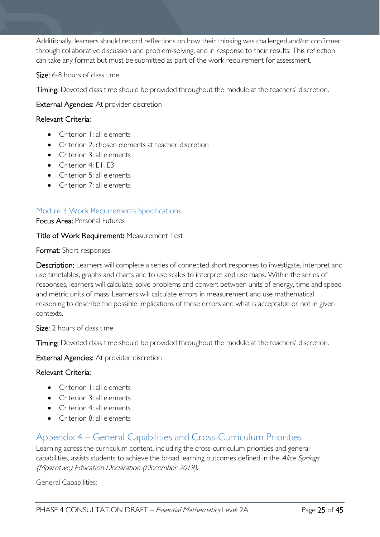Additionally, learners should record reflections on how their thinking was challenged and/or confirmed through collaborative discussion and problem-solving, and in response to their results. This reflection can take any format but must be submitted as part of the work requirement for assessment.

Size: 6-8 hours of class time

Timing: Devoted class time should be provided throughout the module at the teachers' discretion.

External Agencies: At provider discretion

#### Relevant Criteria:

- Criterion I: all elements
- Criterion 2: chosen elements at teacher discretion
- Criterion 3: all elements
- Criterion 4: F1, F3
- Criterion 5: all elements
- Criterion 7: all elements

#### <span id="page-24-0"></span>Module 3 Work Requirements Specifications

Focus Area: Personal Futures

#### Title of Work Requirement: Measurement Test

#### Format: Short responses

Description: Learners will complete a series of connected short responses to investigate, interpret and use timetables, graphs and charts and to use scales to interpret and use maps. Within the series of responses, learners will calculate, solve problems and convert between units of energy, time and speed and metric units of mass. Learners will calculate errors in measurement and use mathematical reasoning to describe the possible implications of these errors and what is acceptable or not in given contexts.

Size: 2 hours of class time

Timing: Devoted class time should be provided throughout the module at the teachers' discretion.

External Agencies: At provider discretion

#### Relevant Criteria:

- Criterion I: all elements
- Criterion 3: all elements
- Criterion 4: all elements
- Criterion 8: all elements

### <span id="page-24-1"></span>Appendix 4 – General Capabilities and Cross-Curriculum Priorities

Learning across the curriculum content, including the cross-curriculum priorities and general capabilities, assists students to achieve the broad learning outcomes defined in the Alice Springs (Mparntwe) Education Declaration (December 2019).

General Capabilities: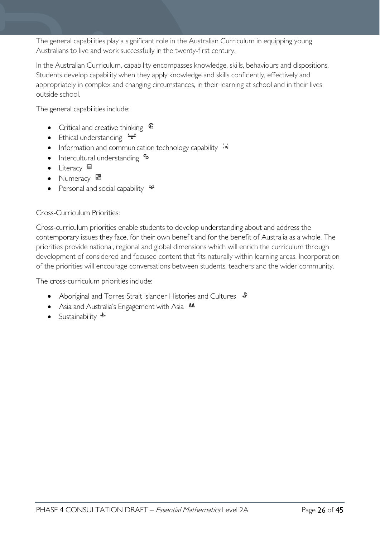The general capabilities play a significant role in the Australian Curriculum in equipping young Australians to live and work successfully in the twenty-first century.

In the Australian Curriculum, capability encompasses knowledge, skills, behaviours and dispositions. Students develop capability when they apply knowledge and skills confidently, effectively and appropriately in complex and changing circumstances, in their learning at school and in their lives outside school.

The general capabilities include:

- Critical and creative thinking  $\mathbb{C}$
- Ethical understanding  $\div$
- Information and communication technology capability  $\cdot \cdot$
- Intercultural understanding  $e_3$
- Literacy
- Numeracy
- Personal and social capability  $\ddot{\bullet}$

Cross-Curriculum Priorities:

Cross-curriculum priorities enable students to develop understanding about and address the contemporary issues they face, for their own benefit and for the benefit of Australia as a whole. The priorities provide national, regional and global dimensions which will enrich the curriculum through development of considered and focused content that fits naturally within learning areas. Incorporation of the priorities will encourage conversations between students, teachers and the wider community.

The cross-curriculum priorities include:

- Aboriginal and Torres Strait Islander Histories and Cultures  $\mathcal$
- Asia and Australia's Engagement with Asia **M**
- Sustainability  $\triangleleft$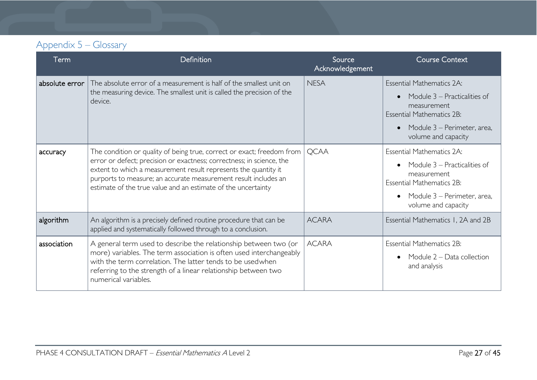## Appendix 5 – Glossary

<span id="page-26-0"></span>

| Term           | Definition                                                                                                                                                                                                                                                                                                                                             | Source<br>Acknowledgement | <b>Course Context</b>                                                                                                                                                                  |
|----------------|--------------------------------------------------------------------------------------------------------------------------------------------------------------------------------------------------------------------------------------------------------------------------------------------------------------------------------------------------------|---------------------------|----------------------------------------------------------------------------------------------------------------------------------------------------------------------------------------|
| absolute error | The absolute error of a measurement is half of the smallest unit on<br>the measuring device. The smallest unit is called the precision of the<br>device.                                                                                                                                                                                               | <b>NESA</b>               | Essential Mathematics 2A:<br>Module 3 – Practicalities of<br>measurement<br><b>Essential Mathematics 2B:</b><br>Module 3 – Perimeter, area,<br>$\bullet$<br>volume and capacity        |
| accuracy       | The condition or quality of being true, correct or exact; freedom from<br>error or defect; precision or exactness; correctness; in science, the<br>extent to which a measurement result represents the quantity it<br>purports to measure; an accurate measurement result includes an<br>estimate of the true value and an estimate of the uncertainty | <b>QCAA</b>               | <b>Essential Mathematics 2A:</b><br>Module 3 – Practicalities of<br>$\bullet$<br>measurement<br><b>Essential Mathematics 2B:</b><br>Module 3 - Perimeter, area,<br>volume and capacity |
| algorithm      | An algorithm is a precisely defined routine procedure that can be<br>applied and systematically followed through to a conclusion.                                                                                                                                                                                                                      | <b>ACARA</b>              | Essential Mathematics 1, 2A and 2B                                                                                                                                                     |
| association    | A general term used to describe the relationship between two (or<br>more) variables. The term association is often used interchangeably<br>with the term correlation. The latter tends to be usedwhen<br>referring to the strength of a linear relationship between two<br>numerical variables.                                                        | <b>ACARA</b>              | <b>Essential Mathematics 2B:</b><br>Module 2 - Data collection<br>and analysis                                                                                                         |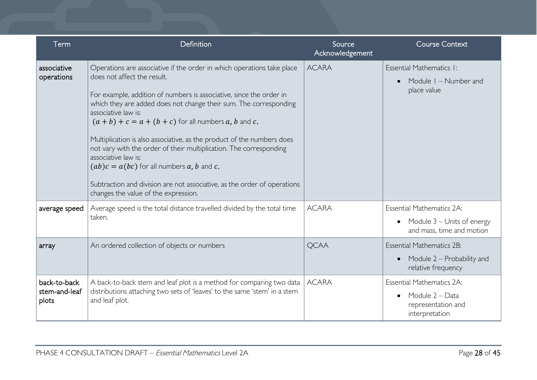| Term                                   | Definition                                                                                                                                                                                                                                                                                                                                                                                                                                                                                                                                                                                                                                                                    | Source<br>Acknowledgement | <b>Course Context</b>                                                                                    |
|----------------------------------------|-------------------------------------------------------------------------------------------------------------------------------------------------------------------------------------------------------------------------------------------------------------------------------------------------------------------------------------------------------------------------------------------------------------------------------------------------------------------------------------------------------------------------------------------------------------------------------------------------------------------------------------------------------------------------------|---------------------------|----------------------------------------------------------------------------------------------------------|
| associative<br>operations              | Operations are associative if the order in which operations take place<br>does not affect the result.<br>For example, addition of numbers is associative, since the order in<br>which they are added does not change their sum. The corresponding<br>associative law is:<br>$(a + b) + c = a + (b + c)$ for all numbers a, b and c.<br>Multiplication is also associative, as the product of the numbers does<br>not vary with the order of their multiplication. The corresponding<br>associative law is:<br>$(ab)c = a(bc)$ for all numbers a, b and c.<br>Subtraction and division are not associative, as the order of operations<br>changes the value of the expression. | <b>ACARA</b>              | Essential Mathematics I:<br>Module I - Number and<br>$\bullet$<br>place value                            |
| average speed                          | Average speed is the total distance travelled divided by the total time<br>taken.                                                                                                                                                                                                                                                                                                                                                                                                                                                                                                                                                                                             | <b>ACARA</b>              | <b>Essential Mathematics 2A:</b><br>Module 3 – Units of energy<br>$\bullet$<br>and mass, time and motion |
| array                                  | An ordered collection of objects or numbers                                                                                                                                                                                                                                                                                                                                                                                                                                                                                                                                                                                                                                   | <b>QCAA</b>               | <b>Essential Mathematics 2B:</b><br>Module 2 – Probability and<br>$\bullet$<br>relative frequency        |
| back-to-back<br>stem-and-leaf<br>plots | A back-to-back stem and leaf plot is a method for comparing two data<br>distributions attaching two sets of 'leaves' to the same 'stem' in a stem<br>and leaf plot.                                                                                                                                                                                                                                                                                                                                                                                                                                                                                                           | <b>ACARA</b>              | <b>Essential Mathematics 2A:</b><br>Module 2 – Data<br>$\bullet$<br>representation and<br>interpretation |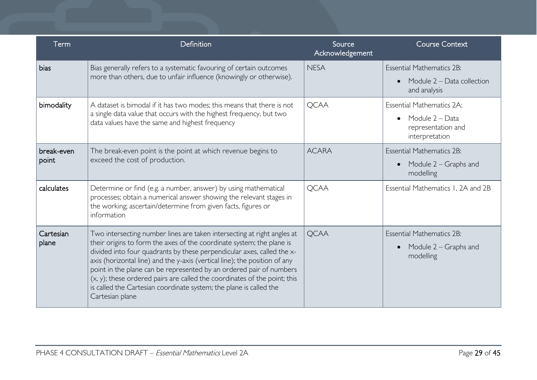| Term                | Definition                                                                                                                                                                                                                                                                                                                                                                                                                                                                                                                                            | Source<br>Acknowledgement | <b>Course Context</b>                                                                                    |
|---------------------|-------------------------------------------------------------------------------------------------------------------------------------------------------------------------------------------------------------------------------------------------------------------------------------------------------------------------------------------------------------------------------------------------------------------------------------------------------------------------------------------------------------------------------------------------------|---------------------------|----------------------------------------------------------------------------------------------------------|
| bias                | Bias generally refers to a systematic favouring of certain outcomes<br>more than others, due to unfair influence (knowingly or otherwise).                                                                                                                                                                                                                                                                                                                                                                                                            | <b>NESA</b>               | <b>Essential Mathematics 2B:</b><br>Module $2 - Data$ collection<br>$\bullet$<br>and analysis            |
| bimodality          | A dataset is bimodal if it has two modes; this means that there is not<br>a single data value that occurs with the highest frequency, but two<br>data values have the same and highest frequency                                                                                                                                                                                                                                                                                                                                                      | <b>QCAA</b>               | <b>Essential Mathematics 2A:</b><br>Module 2 - Data<br>$\bullet$<br>representation and<br>interpretation |
| break-even<br>point | The break-even point is the point at which revenue begins to<br>exceed the cost of production.                                                                                                                                                                                                                                                                                                                                                                                                                                                        | <b>ACARA</b>              | <b>Essential Mathematics 2B:</b><br>Module 2 – Graphs and<br>$\bullet$<br>modelling                      |
| calculates          | Determine or find (e.g. a number, answer) by using mathematical<br>processes; obtain a numerical answer showing the relevant stages in<br>the working; ascertain/determine from given facts, figures or<br>information                                                                                                                                                                                                                                                                                                                                | <b>QCAA</b>               | Essential Mathematics 1, 2A and 2B                                                                       |
| Cartesian<br>plane  | Two intersecting number lines are taken intersecting at right angles at<br>their origins to form the axes of the coordinate system; the plane is<br>divided into four quadrants by these perpendicular axes, called the x-<br>axis (horizontal line) and the y-axis (vertical line); the position of any<br>point in the plane can be represented by an ordered pair of numbers<br>(x, y); these ordered pairs are called the coordinates of the point; this<br>is called the Cartesian coordinate system; the plane is called the<br>Cartesian plane | <b>QCAA</b>               | <b>Essential Mathematics 2B:</b><br>Module 2 – Graphs and<br>$\bullet$<br>modelling                      |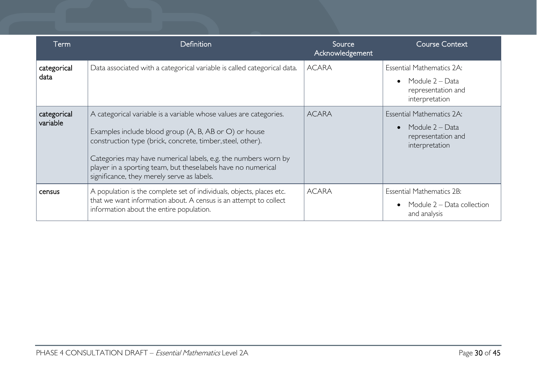| Term                    | Definition                                                                                                                                                                                                                                                                                                                                                               | Source<br>Acknowledgement | <b>Course Context</b>                                                                                    |
|-------------------------|--------------------------------------------------------------------------------------------------------------------------------------------------------------------------------------------------------------------------------------------------------------------------------------------------------------------------------------------------------------------------|---------------------------|----------------------------------------------------------------------------------------------------------|
| categorical<br>data     | Data associated with a categorical variable is called categorical data.                                                                                                                                                                                                                                                                                                  | <b>ACARA</b>              | <b>Essential Mathematics 2A:</b><br>Module 2 – Data<br>$\bullet$<br>representation and<br>interpretation |
| categorical<br>variable | A categorical variable is a variable whose values are categories.<br>Examples include blood group (A, B, AB or O) or house<br>construction type (brick, concrete, timber, steel, other).<br>Categories may have numerical labels, e.g. the numbers worn by<br>player in a sporting team, but theselabels have no numerical<br>significance, they merely serve as labels. | <b>ACARA</b>              | <b>Essential Mathematics 2A:</b><br>Module 2 – Data<br>$\bullet$<br>representation and<br>interpretation |
| census                  | A population is the complete set of individuals, objects, places etc.<br>that we want information about. A census is an attempt to collect<br>information about the entire population.                                                                                                                                                                                   | <b>ACARA</b>              | <b>Essential Mathematics 2B:</b><br>Module 2 – Data collection<br>and analysis                           |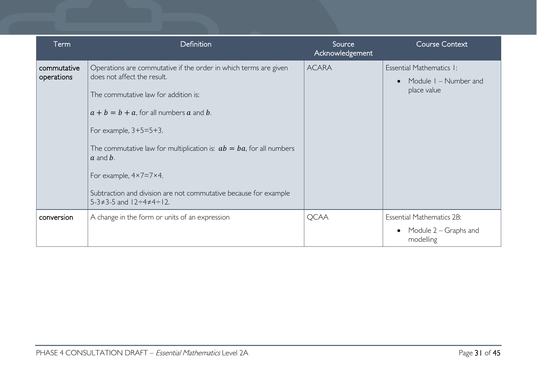| Term                      | Definition                                                                                                                                                                                                                                                                                                                                                                                                                                                                      | Source<br>Acknowledgement | <b>Course Context</b>                                                         |
|---------------------------|---------------------------------------------------------------------------------------------------------------------------------------------------------------------------------------------------------------------------------------------------------------------------------------------------------------------------------------------------------------------------------------------------------------------------------------------------------------------------------|---------------------------|-------------------------------------------------------------------------------|
| commutative<br>operations | Operations are commutative if the order in which terms are given<br>does not affect the result.<br>The commutative law for addition is:<br>$a + b = b + a$ , for all numbers a and b.<br>For example, $3+5=5+3$ .<br>The commutative law for multiplication is: $ab = ba$ , for all numbers<br>$a$ and $b$ .<br>For example, $4 \times 7 = 7 \times 4$ .<br>Subtraction and division are not commutative because for example<br>$5-3 \neq 3-5$ and $12 \div 4 \neq 4 \div 12$ . | <b>ACARA</b>              | Essential Mathematics I:<br>Module I - Number and<br>$\bullet$<br>place value |
| conversion                | A change in the form or units of an expression                                                                                                                                                                                                                                                                                                                                                                                                                                  | <b>QCAA</b>               | <b>Essential Mathematics 2B:</b>                                              |
|                           |                                                                                                                                                                                                                                                                                                                                                                                                                                                                                 |                           | Module 2 – Graphs and<br>modelling                                            |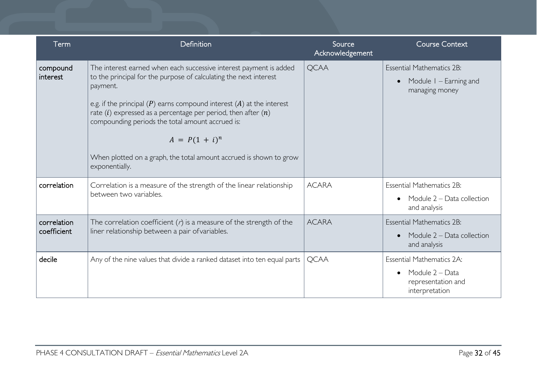| Term                       | Definition                                                                                                                                                                                                                                                                                                                                                                                                                                                            | Source<br>Acknowledgement | <b>Course Context</b>                                                                                    |
|----------------------------|-----------------------------------------------------------------------------------------------------------------------------------------------------------------------------------------------------------------------------------------------------------------------------------------------------------------------------------------------------------------------------------------------------------------------------------------------------------------------|---------------------------|----------------------------------------------------------------------------------------------------------|
| compound<br>interest       | The interest earned when each successive interest payment is added<br>to the principal for the purpose of calculating the next interest<br>payment.<br>e.g. if the principal $(P)$ earns compound interest $(A)$ at the interest<br>rate $(i)$ expressed as a percentage per period, then after $(n)$<br>compounding periods the total amount accrued is:<br>$A = P(1 + i)^n$<br>When plotted on a graph, the total amount accrued is shown to grow<br>exponentially. | <b>QCAA</b>               | <b>Essential Mathematics 2B:</b><br>Module I – Earning and<br>$\bullet$<br>managing money                |
| correlation                | Correlation is a measure of the strength of the linear relationship<br>between two variables.                                                                                                                                                                                                                                                                                                                                                                         | <b>ACARA</b>              | <b>Essential Mathematics 2B:</b><br>Module 2 - Data collection<br>$\bullet$<br>and analysis              |
| correlation<br>coefficient | The correlation coefficient $(r)$ is a measure of the strength of the<br>liner relationship between a pair of variables.                                                                                                                                                                                                                                                                                                                                              | <b>ACARA</b>              | <b>Essential Mathematics 2B:</b><br>Module $2 - Data$ collection<br>$\bullet$<br>and analysis            |
| decile                     | Any of the nine values that divide a ranked dataset into ten equal parts                                                                                                                                                                                                                                                                                                                                                                                              | <b>QCAA</b>               | <b>Essential Mathematics 2A:</b><br>Module 2 - Data<br>$\bullet$<br>representation and<br>interpretation |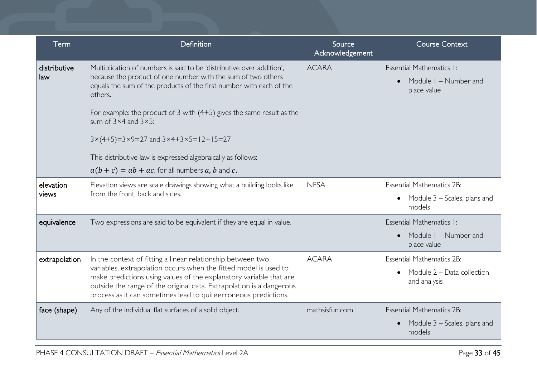| Term                | Definition                                                                                                                                                                                                                                                                                                                                                                                                                                                                                                                                            | Source<br>Acknowledgement | <b>Course Context</b>                                                                   |
|---------------------|-------------------------------------------------------------------------------------------------------------------------------------------------------------------------------------------------------------------------------------------------------------------------------------------------------------------------------------------------------------------------------------------------------------------------------------------------------------------------------------------------------------------------------------------------------|---------------------------|-----------------------------------------------------------------------------------------|
| distributive<br>law | Multiplication of numbers is said to be 'distributive over addition',<br>because the product of one number with the sum of two others<br>equals the sum of the products of the first number with each of the<br>others.<br>For example: the product of 3 with $(4+5)$ gives the same result as the<br>sum of $3 \times 4$ and $3 \times 5$ :<br>$3 \times (4+5) = 3 \times 9 = 27$ and $3 \times 4 + 3 \times 5 = 12 + 15 = 27$<br>This distributive law is expressed algebraically as follows:<br>$a(b + c) = ab + ac$ , for all numbers a, b and c. | <b>ACARA</b>              | Essential Mathematics I:<br>Module I - Number and<br>$\bullet$<br>place value           |
| elevation<br>views  | Elevation views are scale drawings showing what a building looks like<br>from the front, back and sides.                                                                                                                                                                                                                                                                                                                                                                                                                                              | <b>NESA</b>               | <b>Essential Mathematics 2B:</b><br>• Module $3$ – Scales, plans and<br>models          |
| equivalence         | Two expressions are said to be equivalent if they are equal in value.                                                                                                                                                                                                                                                                                                                                                                                                                                                                                 |                           | Essential Mathematics I:<br>Module I – Number and<br>place value                        |
| extrapolation       | In the context of fitting a linear relationship between two<br>variables, extrapolation occurs when the fitted model is used to<br>make predictions using values of the explanatory variable that are<br>outside the range of the original data. Extrapolation is a dangerous<br>process as it can sometimes lead to quiteerroneous predictions.                                                                                                                                                                                                      | <b>ACARA</b>              | <b>Essential Mathematics 2B:</b><br>Module 2 - Data collection<br>and analysis          |
| face (shape)        | Any of the individual flat surfaces of a solid object.                                                                                                                                                                                                                                                                                                                                                                                                                                                                                                | mathsisfun.com            | <b>Essential Mathematics 2B:</b><br>Module 3 – Scales, plans and<br>$\bullet$<br>models |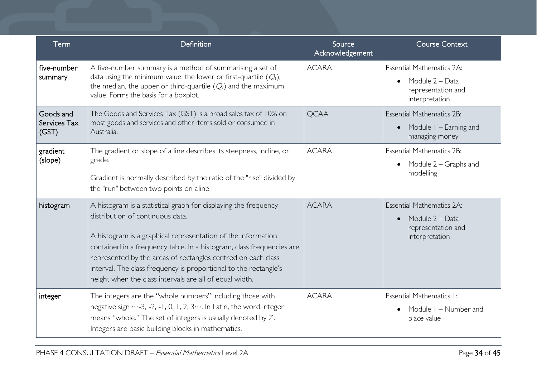| Term                               | Definition                                                                                                                                                                                                                                                                                                                                                                                                                                  | Source<br>Acknowledgement | <b>Course Context</b>                                                                                    |
|------------------------------------|---------------------------------------------------------------------------------------------------------------------------------------------------------------------------------------------------------------------------------------------------------------------------------------------------------------------------------------------------------------------------------------------------------------------------------------------|---------------------------|----------------------------------------------------------------------------------------------------------|
| five-number<br>summary             | A five-number summary is a method of summarising a set of<br>data using the minimum value, the lower or first-quartile $(Q1)$ ,<br>the median, the upper or third-quartile $(Q_3)$ and the maximum<br>value. Forms the basis for a boxplot.                                                                                                                                                                                                 | <b>ACARA</b>              | <b>Essential Mathematics 2A:</b><br>Module 2 - Data<br>$\bullet$<br>representation and<br>interpretation |
| Goods and<br>Services Tax<br>(GST) | The Goods and Services Tax (GST) is a broad sales tax of 10% on<br>most goods and services and other items sold or consumed in<br>Australia.                                                                                                                                                                                                                                                                                                | <b>QCAA</b>               | <b>Essential Mathematics 2B:</b><br>Module I – Earning and<br>$\bullet$<br>managing money                |
| gradient<br>(slope)                | The gradient or slope of a line describes its steepness, incline, or<br>grade.<br>Gradient is normally described by the ratio of the "rise" divided by<br>the "run" between two points on aline.                                                                                                                                                                                                                                            | <b>ACARA</b>              | <b>Essential Mathematics 2B:</b><br>Module 2 – Graphs and<br>$\bullet$<br>modelling                      |
| histogram                          | A histogram is a statistical graph for displaying the frequency<br>distribution of continuous data.<br>A histogram is a graphical representation of the information<br>contained in a frequency table. In a histogram, class frequencies are<br>represented by the areas of rectangles centred on each class<br>interval. The class frequency is proportional to the rectangle's<br>height when the class intervals are all of equal width. | <b>ACARA</b>              | <b>Essential Mathematics 2A:</b><br>Module 2 - Data<br>$\bullet$<br>representation and<br>interpretation |
| integer                            | The integers are the "whole numbers" including those with<br>negative sign -3, -2, -1, 0, 1, 2, 3 In Latin, the word integer<br>means "whole." The set of integers is usually denoted by Z.<br>Integers are basic building blocks in mathematics.                                                                                                                                                                                           | <b>ACARA</b>              | Essential Mathematics I:<br>Module I – Number and<br>place value                                         |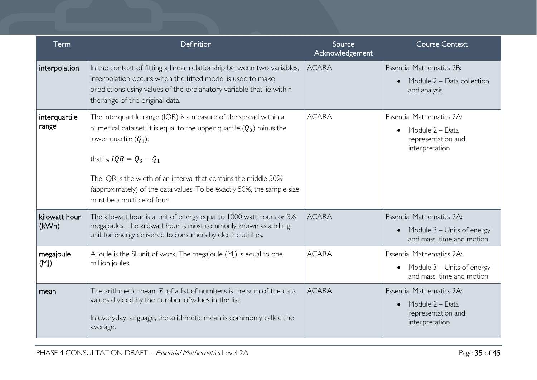| Term                   | Definition                                                                                                                                                                                                                                                                                                                                                                          | Source<br>Acknowledgement | <b>Course Context</b>                                                                                    |
|------------------------|-------------------------------------------------------------------------------------------------------------------------------------------------------------------------------------------------------------------------------------------------------------------------------------------------------------------------------------------------------------------------------------|---------------------------|----------------------------------------------------------------------------------------------------------|
| interpolation          | In the context of fitting a linear relationship between two variables,<br>interpolation occurs when the fitted model is used to make<br>predictions using values of the explanatory variable that lie within<br>therange of the original data.                                                                                                                                      | <b>ACARA</b>              | <b>Essential Mathematics 2B:</b><br>Module 2 – Data collection<br>$\bullet$<br>and analysis              |
| interquartile<br>range | The interquartile range (IQR) is a measure of the spread within a<br>numerical data set. It is equal to the upper quartile $(Q_3)$ minus the<br>lower quartile $(Q_1)$ ;<br>that is, $IQR = Q_3 - Q_1$<br>The IQR is the width of an interval that contains the middle 50%<br>(approximately) of the data values. To be exactly 50%, the sample size<br>must be a multiple of four. | <b>ACARA</b>              | Essential Mathematics 2A:<br>Module 2 – Data<br>$\bullet$<br>representation and<br>interpretation        |
| kilowatt hour<br>(kWh) | The kilowatt hour is a unit of energy equal to 1000 watt hours or 3.6<br>megajoules. The kilowatt hour is most commonly known as a billing<br>unit for energy delivered to consumers by electric utilities.                                                                                                                                                                         | <b>ACARA</b>              | <b>Essential Mathematics 2A:</b><br>• Module $3$ – Units of energy<br>and mass, time and motion          |
| megajoule<br>(M)       | A joule is the SI unit of work. The megajoule (MJ) is equal to one<br>million joules.                                                                                                                                                                                                                                                                                               | <b>ACARA</b>              | <b>Essential Mathematics 2A:</b><br>• Module $3$ – Units of energy<br>and mass, time and motion          |
| mean                   | The arithmetic mean, $\bar{x}$ , of a list of numbers is the sum of the data<br>values divided by the number of values in the list.<br>In everyday language, the arithmetic mean is commonly called the<br>average.                                                                                                                                                                 | <b>ACARA</b>              | <b>Essential Mathematics 2A:</b><br>Module 2 – Data<br>$\bullet$<br>representation and<br>interpretation |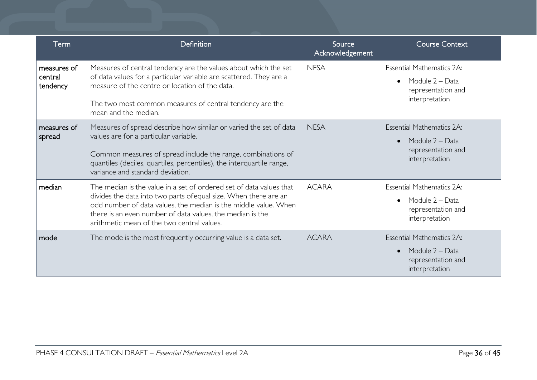| Term                               | Definition                                                                                                                                                                                                                                                                                                            | Source<br>Acknowledgement | <b>Course Context</b>                                                                                    |
|------------------------------------|-----------------------------------------------------------------------------------------------------------------------------------------------------------------------------------------------------------------------------------------------------------------------------------------------------------------------|---------------------------|----------------------------------------------------------------------------------------------------------|
| measures of<br>central<br>tendency | Measures of central tendency are the values about which the set<br>of data values for a particular variable are scattered. They are a<br>measure of the centre or location of the data.<br>The two most common measures of central tendency are the<br>mean and the median.                                           | <b>NESA</b>               | <b>Essential Mathematics 2A:</b><br>Module 2 – Data<br>$\bullet$<br>representation and<br>interpretation |
| measures of<br>spread              | Measures of spread describe how similar or varied the set of data<br>values are for a particular variable.<br>Common measures of spread include the range, combinations of<br>quantiles (deciles, quartiles, percentiles), the interquartile range,<br>variance and standard deviation.                               | <b>NESA</b>               | <b>Essential Mathematics 2A:</b><br>Module 2 - Data<br>$\bullet$<br>representation and<br>interpretation |
| median                             | The median is the value in a set of ordered set of data values that<br>divides the data into two parts of equal size. When there are an<br>odd number of data values, the median is the middle value. When<br>there is an even number of data values, the median is the<br>arithmetic mean of the two central values. | <b>ACARA</b>              | <b>Essential Mathematics 2A:</b><br>Module 2 – Data<br>$\bullet$<br>representation and<br>interpretation |
| mode                               | The mode is the most frequently occurring value is a data set.                                                                                                                                                                                                                                                        | <b>ACARA</b>              | <b>Essential Mathematics 2A:</b><br>Module 2 – Data<br>$\bullet$<br>representation and<br>interpretation |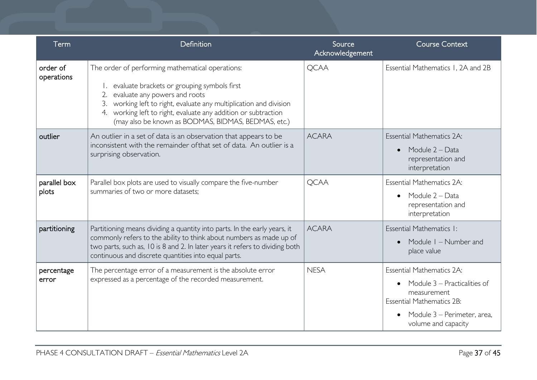| Term                   | Definition                                                                                                                                                                                                                                                                                                                | Source<br>Acknowledgement | <b>Course Context</b>                                                                                                                                                                               |
|------------------------|---------------------------------------------------------------------------------------------------------------------------------------------------------------------------------------------------------------------------------------------------------------------------------------------------------------------------|---------------------------|-----------------------------------------------------------------------------------------------------------------------------------------------------------------------------------------------------|
| order of<br>operations | The order of performing mathematical operations:<br>evaluate brackets or grouping symbols first<br>evaluate any powers and roots<br>working left to right, evaluate any multiplication and division<br>working left to right, evaluate any addition or subtraction<br>(may also be known as BODMAS, BIDMAS, BEDMAS, etc.) | <b>QCAA</b>               | Essential Mathematics 1, 2A and 2B                                                                                                                                                                  |
| outlier                | An outlier in a set of data is an observation that appears to be<br>inconsistent with the remainder of that set of data. An outlier is a<br>surprising observation.                                                                                                                                                       | <b>ACARA</b>              | <b>Essential Mathematics 2A:</b><br>Module 2 - Data<br>$\bullet$<br>representation and<br>interpretation                                                                                            |
| parallel box<br>plots  | Parallel box plots are used to visually compare the five-number<br>summaries of two or more datasets;                                                                                                                                                                                                                     | <b>QCAA</b>               | <b>Essential Mathematics 2A:</b><br>Module 2 – Data<br>$\bullet$<br>representation and<br>interpretation                                                                                            |
| partitioning           | Partitioning means dividing a quantity into parts. In the early years, it<br>commonly refers to the ability to think about numbers as made up of<br>two parts, such as, 10 is 8 and 2. In later years it refers to dividing both<br>continuous and discrete quantities into equal parts.                                  | <b>ACARA</b>              | Essential Mathematics I:<br>Module I - Number and<br>place value                                                                                                                                    |
| percentage<br>error    | The percentage error of a measurement is the absolute error<br>expressed as a percentage of the recorded measurement.                                                                                                                                                                                                     | <b>NESA</b>               | <b>Essential Mathematics 2A:</b><br>Module 3 – Practicalities of<br>$\bullet$<br>measurement<br><b>Essential Mathematics 2B:</b><br>Module 3 – Perimeter, area,<br>$\bullet$<br>volume and capacity |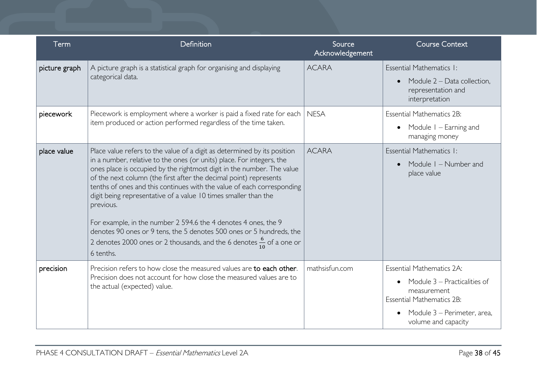| Term          | Definition                                                                                                                                                                                                                                                                                                                                                                                                                                                                                                                                                                                                                                                                                            | Source<br>Acknowledgement | <b>Course Context</b>                                                                                                                                                                               |
|---------------|-------------------------------------------------------------------------------------------------------------------------------------------------------------------------------------------------------------------------------------------------------------------------------------------------------------------------------------------------------------------------------------------------------------------------------------------------------------------------------------------------------------------------------------------------------------------------------------------------------------------------------------------------------------------------------------------------------|---------------------------|-----------------------------------------------------------------------------------------------------------------------------------------------------------------------------------------------------|
| picture graph | A picture graph is a statistical graph for organising and displaying<br>categorical data.                                                                                                                                                                                                                                                                                                                                                                                                                                                                                                                                                                                                             | <b>ACARA</b>              | Essential Mathematics I:<br>Module 2 - Data collection,<br>$\bullet$<br>representation and<br>interpretation                                                                                        |
| piecework     | Piecework is employment where a worker is paid a fixed rate for each<br>item produced or action performed regardless of the time taken.                                                                                                                                                                                                                                                                                                                                                                                                                                                                                                                                                               | <b>NESA</b>               | <b>Essential Mathematics 2B:</b><br>Module $1 -$ Earning and<br>$\bullet$<br>managing money                                                                                                         |
| place value   | Place value refers to the value of a digit as determined by its position<br>in a number, relative to the ones (or units) place. For integers, the<br>ones place is occupied by the rightmost digit in the number. The value<br>of the next column (the first after the decimal point) represents<br>tenths of ones and this continues with the value of each corresponding<br>digit being representative of a value 10 times smaller than the<br>previous.<br>For example, in the number 2 594.6 the 4 denotes 4 ones, the 9<br>denotes 90 ones or 9 tens, the 5 denotes 500 ones or 5 hundreds, the<br>2 denotes 2000 ones or 2 thousands, and the 6 denotes $\frac{6}{10}$ of a one or<br>6 tenths. | <b>ACARA</b>              | Essential Mathematics I:<br>Module I - Number and<br>$\bullet$<br>place value                                                                                                                       |
| precision     | Precision refers to how close the measured values are to each other.<br>Precision does not account for how close the measured values are to<br>the actual (expected) value.                                                                                                                                                                                                                                                                                                                                                                                                                                                                                                                           | mathsisfun.com            | <b>Essential Mathematics 2A:</b><br>Module 3 – Practicalities of<br>$\bullet$<br>measurement<br><b>Essential Mathematics 2B:</b><br>Module 3 – Perimeter, area,<br>$\bullet$<br>volume and capacity |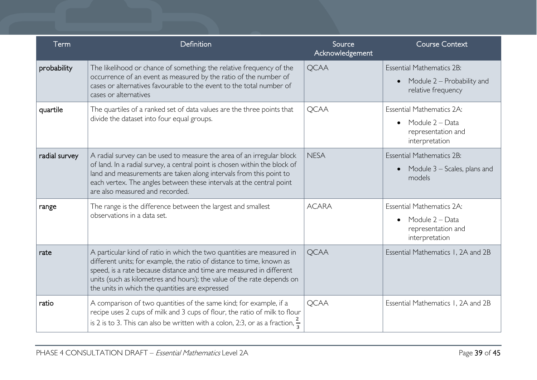| Term          | Definition                                                                                                                                                                                                                                                                                                                                           | Source<br>Acknowledgement | <b>Course Context</b>                                                                                    |
|---------------|------------------------------------------------------------------------------------------------------------------------------------------------------------------------------------------------------------------------------------------------------------------------------------------------------------------------------------------------------|---------------------------|----------------------------------------------------------------------------------------------------------|
| probability   | The likelihood or chance of something; the relative frequency of the<br>occurrence of an event as measured by the ratio of the number of<br>cases or alternatives favourable to the event to the total number of<br>cases or alternatives                                                                                                            | <b>QCAA</b>               | <b>Essential Mathematics 2B:</b><br>Module 2 – Probability and<br>$\bullet$<br>relative frequency        |
| quartile      | The quartiles of a ranked set of data values are the three points that<br>divide the dataset into four equal groups.                                                                                                                                                                                                                                 | <b>QCAA</b>               | <b>Essential Mathematics 2A:</b><br>Module 2 – Data<br>$\bullet$<br>representation and<br>interpretation |
| radial survey | A radial survey can be used to measure the area of an irregular block<br>of land. In a radial survey, a central point is chosen within the block of<br>land and measurements are taken along intervals from this point to<br>each vertex. The angles between these intervals at the central point<br>are also measured and recorded.                 | <b>NESA</b>               | <b>Essential Mathematics 2B:</b><br>Module 3 – Scales, plans and<br>$\bullet$<br>models                  |
| range         | The range is the difference between the largest and smallest<br>observations in a data set.                                                                                                                                                                                                                                                          | <b>ACARA</b>              | <b>Essential Mathematics 2A:</b><br>Module 2 - Data<br>$\bullet$<br>representation and<br>interpretation |
| rate          | A particular kind of ratio in which the two quantities are measured in<br>different units; for example, the ratio of distance to time, known as<br>speed, is a rate because distance and time are measured in different<br>units (such as kilometres and hours); the value of the rate depends on<br>the units in which the quantities are expressed | <b>QCAA</b>               | Essential Mathematics 1, 2A and 2B                                                                       |
| ratio         | A comparison of two quantities of the same kind; for example, if a<br>recipe uses 2 cups of milk and 3 cups of flour, the ratio of milk to flour<br>is 2 is to 3. This can also be written with a colon, 2:3, or as a fraction, $\frac{2}{3}$                                                                                                        | <b>QCAA</b>               | Essential Mathematics 1, 2A and 2B                                                                       |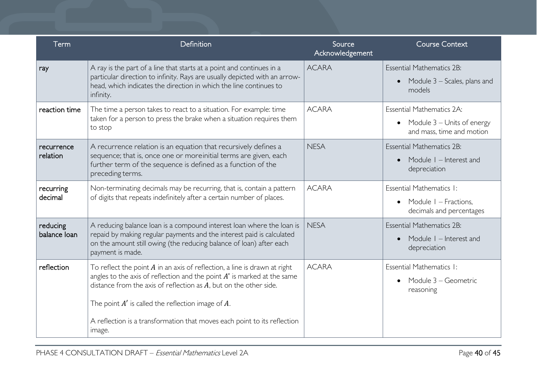| Term                     | Definition                                                                                                                                                                                                                                                                                 | Source<br>Acknowledgement | <b>Course Context</b>                                                                      |
|--------------------------|--------------------------------------------------------------------------------------------------------------------------------------------------------------------------------------------------------------------------------------------------------------------------------------------|---------------------------|--------------------------------------------------------------------------------------------|
| ray                      | A ray is the part of a line that starts at a point and continues in a<br>particular direction to infinity. Rays are usually depicted with an arrow-<br>head, which indicates the direction in which the line continues to<br>infinity.                                                     | <b>ACARA</b>              | <b>Essential Mathematics 2B:</b><br>Module $3$ – Scales, plans and<br>$\bullet$<br>models  |
| reaction time            | The time a person takes to react to a situation. For example: time<br>taken for a person to press the brake when a situation requires them<br>to stop                                                                                                                                      | <b>ACARA</b>              | Essential Mathematics 2A:<br>• Module $3$ – Units of energy<br>and mass, time and motion   |
| recurrence<br>relation   | A recurrence relation is an equation that recursively defines a<br>sequence; that is, once one or more initial terms are given, each<br>further term of the sequence is defined as a function of the<br>preceding terms.                                                                   | <b>NESA</b>               | <b>Essential Mathematics 2B:</b><br>Module I – Interest and<br>$\bullet$<br>depreciation   |
| recurring<br>decimal     | Non-terminating decimals may be recurring, that is, contain a pattern<br>of digits that repeats indefinitely after a certain number of places.                                                                                                                                             | <b>ACARA</b>              | Essential Mathematics 1:<br>Module I - Fractions,<br>$\bullet$<br>decimals and percentages |
| reducing<br>balance loan | A reducing balance loan is a compound interest loan where the loan is<br>repaid by making regular payments and the interest paid is calculated<br>on the amount still owing (the reducing balance of loan) after each<br>payment is made.                                                  | <b>NESA</b>               | <b>Essential Mathematics 2B:</b><br>Module I - Interest and<br>$\bullet$<br>depreciation   |
| reflection               | To reflect the point $A$ in an axis of reflection, a line is drawn at right<br>angles to the axis of reflection and the point $A'$ is marked at the same<br>distance from the axis of reflection as $A$ , but on the other side.<br>The point $A'$ is called the reflection image of $A$ . | <b>ACARA</b>              | Essential Mathematics 1:<br>Module 3 - Geometric<br>$\bullet$<br>reasoning                 |
|                          | A reflection is a transformation that moves each point to its reflection<br>image.                                                                                                                                                                                                         |                           |                                                                                            |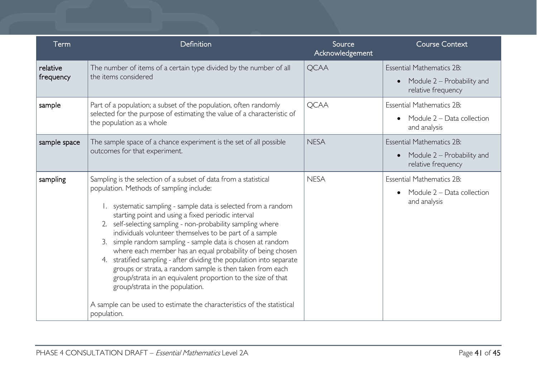| Term                  | Definition                                                                                                                                                                                                                                                                                                                                                                                                                                                                                                                                                                                                                                                                                                                                                                                                                          | Source<br>Acknowledgement | <b>Course Context</b>                                                                             |
|-----------------------|-------------------------------------------------------------------------------------------------------------------------------------------------------------------------------------------------------------------------------------------------------------------------------------------------------------------------------------------------------------------------------------------------------------------------------------------------------------------------------------------------------------------------------------------------------------------------------------------------------------------------------------------------------------------------------------------------------------------------------------------------------------------------------------------------------------------------------------|---------------------------|---------------------------------------------------------------------------------------------------|
| relative<br>frequency | The number of items of a certain type divided by the number of all<br>the items considered                                                                                                                                                                                                                                                                                                                                                                                                                                                                                                                                                                                                                                                                                                                                          | <b>QCAA</b>               | <b>Essential Mathematics 2B:</b><br>Module 2 – Probability and<br>$\bullet$<br>relative frequency |
| sample                | Part of a population; a subset of the population, often randomly<br>selected for the purpose of estimating the value of a characteristic of<br>the population as a whole                                                                                                                                                                                                                                                                                                                                                                                                                                                                                                                                                                                                                                                            | <b>QCAA</b>               | <b>Essential Mathematics 2B:</b><br>Module 2 - Data collection<br>$\bullet$<br>and analysis       |
| sample space          | The sample space of a chance experiment is the set of all possible<br>outcomes for that experiment.                                                                                                                                                                                                                                                                                                                                                                                                                                                                                                                                                                                                                                                                                                                                 | <b>NESA</b>               | <b>Essential Mathematics 2B:</b><br>Module 2 – Probability and<br>$\bullet$<br>relative frequency |
| sampling              | Sampling is the selection of a subset of data from a statistical<br>population. Methods of sampling include:<br>systematic sampling - sample data is selected from a random<br>starting point and using a fixed periodic interval<br>self-selecting sampling - non-probability sampling where<br>2.<br>individuals volunteer themselves to be part of a sample<br>simple random sampling - sample data is chosen at random<br>3.<br>where each member has an equal probability of being chosen<br>stratified sampling - after dividing the population into separate<br>4.<br>groups or strata, a random sample is then taken from each<br>group/strata in an equivalent proportion to the size of that<br>group/strata in the population.<br>A sample can be used to estimate the characteristics of the statistical<br>population. | <b>NESA</b>               | <b>Essential Mathematics 2B:</b><br>Module 2 - Data collection<br>$\bullet$<br>and analysis       |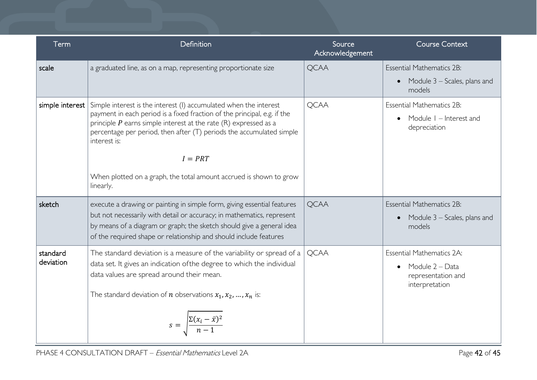| Term                  | Definition                                                                                                                                                                                                                                                                                                        | Source<br>Acknowledgement | <b>Course Context</b>                                                                                    |
|-----------------------|-------------------------------------------------------------------------------------------------------------------------------------------------------------------------------------------------------------------------------------------------------------------------------------------------------------------|---------------------------|----------------------------------------------------------------------------------------------------------|
| scale                 | a graduated line, as on a map, representing proportionate size                                                                                                                                                                                                                                                    | <b>QCAA</b>               | <b>Essential Mathematics 2B:</b><br>Module 3 – Scales, plans and<br>$\bullet$                            |
|                       |                                                                                                                                                                                                                                                                                                                   |                           | models                                                                                                   |
| simple interest       | Simple interest is the interest (I) accumulated when the interest<br>payment in each period is a fixed fraction of the principal, e.g. if the<br>principle $P$ earns simple interest at the rate $(R)$ expressed as a<br>percentage per period, then after (T) periods the accumulated simple<br>interest is:     | <b>QCAA</b>               | <b>Essential Mathematics 2B:</b><br>Module I – Interest and<br>depreciation                              |
|                       | $I = PRT$                                                                                                                                                                                                                                                                                                         |                           |                                                                                                          |
|                       | When plotted on a graph, the total amount accrued is shown to grow<br>linearly.                                                                                                                                                                                                                                   |                           |                                                                                                          |
| sketch                | execute a drawing or painting in simple form, giving essential features<br>but not necessarily with detail or accuracy; in mathematics, represent<br>by means of a diagram or graph; the sketch should give a general idea<br>of the required shape or relationship and should include features                   | <b>QCAA</b>               | <b>Essential Mathematics 2B:</b><br>Module 3 – Scales, plans and<br>$\bullet$<br>models                  |
| standard<br>deviation | The standard deviation is a measure of the variability or spread of a<br>data set. It gives an indication of the degree to which the individual<br>data values are spread around their mean.<br>The standard deviation of <i>n</i> observations $x_1, x_2, , x_n$ is:<br>$s = \frac{\sum (x_i - \bar{x})^2}{n-1}$ | <b>QCAA</b>               | <b>Essential Mathematics 2A:</b><br>Module 2 - Data<br>$\bullet$<br>representation and<br>interpretation |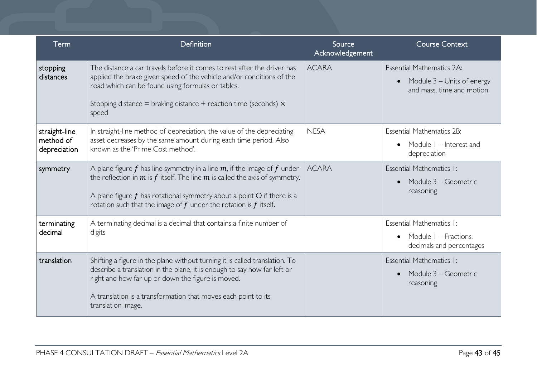| Term                                       | Definition                                                                                                                                                                                                                                                                                                                 | Source<br>Acknowledgement | <b>Course Context</b>                                                                             |
|--------------------------------------------|----------------------------------------------------------------------------------------------------------------------------------------------------------------------------------------------------------------------------------------------------------------------------------------------------------------------------|---------------------------|---------------------------------------------------------------------------------------------------|
| stopping<br>distances                      | The distance a car travels before it comes to rest after the driver has<br>applied the brake given speed of the vehicle and/or conditions of the<br>road which can be found using formulas or tables.<br>Stopping distance = braking distance + reaction time (seconds) $\times$<br>speed                                  | <b>ACARA</b>              | Essential Mathematics 2A:<br>Module 3 – Units of energy<br>$\bullet$<br>and mass, time and motion |
| straight-line<br>method of<br>depreciation | In straight-line method of depreciation, the value of the depreciating<br>asset decreases by the same amount during each time period. Also<br>known as the 'Prime Cost method'.                                                                                                                                            | <b>NESA</b>               | <b>Essential Mathematics 2B:</b><br>Module I – Interest and<br>depreciation                       |
| symmetry                                   | A plane figure $f$ has line symmetry in a line $m$ , if the image of $f$ under<br>the reflection in $m$ is $f$ itself. The line $m$ is called the axis of symmetry.<br>A plane figure $f$ has rotational symmetry about a point $O$ if there is a<br>rotation such that the image of $f$ under the rotation is $f$ itself. | <b>ACARA</b>              | Essential Mathematics I:<br>Module 3 – Geometric<br>reasoning                                     |
| terminating<br>decimal                     | A terminating decimal is a decimal that contains a finite number of<br>digits                                                                                                                                                                                                                                              |                           | Essential Mathematics I:<br>Module I – Fractions,<br>$\bullet$<br>decimals and percentages        |
| translation                                | Shifting a figure in the plane without turning it is called translation. To<br>describe a translation in the plane, it is enough to say how far left or<br>right and how far up or down the figure is moved.<br>A translation is a transformation that moves each point to its<br>translation image.                       |                           | Essential Mathematics I:<br>Module 3 – Geometric<br>$\bullet$<br>reasoning                        |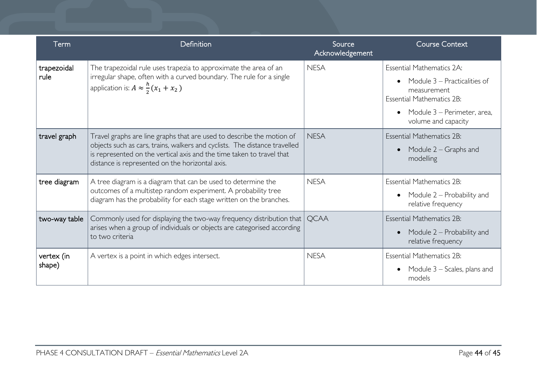| Term                 | Definition                                                                                                                                                                                                                                                                      | Source<br>Acknowledgement | <b>Course Context</b>                                                                                                                                                                               |
|----------------------|---------------------------------------------------------------------------------------------------------------------------------------------------------------------------------------------------------------------------------------------------------------------------------|---------------------------|-----------------------------------------------------------------------------------------------------------------------------------------------------------------------------------------------------|
| trapezoidal<br>rule  | The trapezoidal rule uses trapezia to approximate the area of an<br>irregular shape, often with a curved boundary. The rule for a single<br>application is: $A \approx \frac{h}{2}(x_1 + x_2)$                                                                                  | <b>NESA</b>               | <b>Essential Mathematics 2A:</b><br>Module 3 – Practicalities of<br>$\bullet$<br>measurement<br><b>Essential Mathematics 2B:</b><br>Module 3 - Perimeter, area,<br>$\bullet$<br>volume and capacity |
| travel graph         | Travel graphs are line graphs that are used to describe the motion of<br>objects such as cars, trains, walkers and cyclists. The distance travelled<br>is represented on the vertical axis and the time taken to travel that<br>distance is represented on the horizontal axis. | <b>NESA</b>               | <b>Essential Mathematics 2B:</b><br>Module $2 -$ Graphs and<br>$\bullet$<br>modelling                                                                                                               |
| tree diagram         | A tree diagram is a diagram that can be used to determine the<br>outcomes of a multistep random experiment. A probability tree<br>diagram has the probability for each stage written on the branches.                                                                           | <b>NESA</b>               | <b>Essential Mathematics 2B:</b><br>Module 2 – Probability and<br>$\bullet$<br>relative frequency                                                                                                   |
| two-way table        | Commonly used for displaying the two-way frequency distribution that<br>arises when a group of individuals or objects are categorised according<br>to two criteria                                                                                                              | <b>OCAA</b>               | <b>Essential Mathematics 2B:</b><br>Module 2 – Probability and<br>$\bullet$<br>relative frequency                                                                                                   |
| vertex (in<br>shape) | A vertex is a point in which edges intersect.                                                                                                                                                                                                                                   | <b>NESA</b>               | <b>Essential Mathematics 2B:</b><br>Module $3$ – Scales, plans and<br>$\bullet$<br>models                                                                                                           |